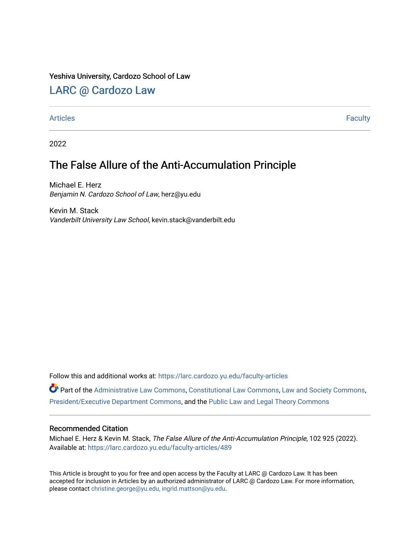# Yeshiva University, Cardozo School of Law

# [LARC @ Cardozo Law](https://larc.cardozo.yu.edu/)

# [Articles](https://larc.cardozo.yu.edu/faculty-articles) Faculty

2022

# The False Allure of the Anti-Accumulation Principle

Michael E. Herz Benjamin N. Cardozo School of Law, herz@yu.edu

Kevin M. Stack Vanderbilt University Law School, kevin.stack@vanderbilt.edu

Follow this and additional works at: [https://larc.cardozo.yu.edu/faculty-articles](https://larc.cardozo.yu.edu/faculty-articles?utm_source=larc.cardozo.yu.edu%2Ffaculty-articles%2F489&utm_medium=PDF&utm_campaign=PDFCoverPages) 

Part of the [Administrative Law Commons,](http://network.bepress.com/hgg/discipline/579?utm_source=larc.cardozo.yu.edu%2Ffaculty-articles%2F489&utm_medium=PDF&utm_campaign=PDFCoverPages) [Constitutional Law Commons,](http://network.bepress.com/hgg/discipline/589?utm_source=larc.cardozo.yu.edu%2Ffaculty-articles%2F489&utm_medium=PDF&utm_campaign=PDFCoverPages) [Law and Society Commons](http://network.bepress.com/hgg/discipline/853?utm_source=larc.cardozo.yu.edu%2Ffaculty-articles%2F489&utm_medium=PDF&utm_campaign=PDFCoverPages), [President/Executive Department Commons](http://network.bepress.com/hgg/discipline/1118?utm_source=larc.cardozo.yu.edu%2Ffaculty-articles%2F489&utm_medium=PDF&utm_campaign=PDFCoverPages), and the [Public Law and Legal Theory Commons](http://network.bepress.com/hgg/discipline/871?utm_source=larc.cardozo.yu.edu%2Ffaculty-articles%2F489&utm_medium=PDF&utm_campaign=PDFCoverPages)

# Recommended Citation

Michael E. Herz & Kevin M. Stack, The False Allure of the Anti-Accumulation Principle, 102 925 (2022). Available at: [https://larc.cardozo.yu.edu/faculty-articles/489](https://larc.cardozo.yu.edu/faculty-articles/489?utm_source=larc.cardozo.yu.edu%2Ffaculty-articles%2F489&utm_medium=PDF&utm_campaign=PDFCoverPages)

This Article is brought to you for free and open access by the Faculty at LARC @ Cardozo Law. It has been accepted for inclusion in Articles by an authorized administrator of LARC @ Cardozo Law. For more information, please contact [christine.george@yu.edu, ingrid.mattson@yu.edu.](mailto:christine.george@yu.edu,%20ingrid.mattson@yu.edu)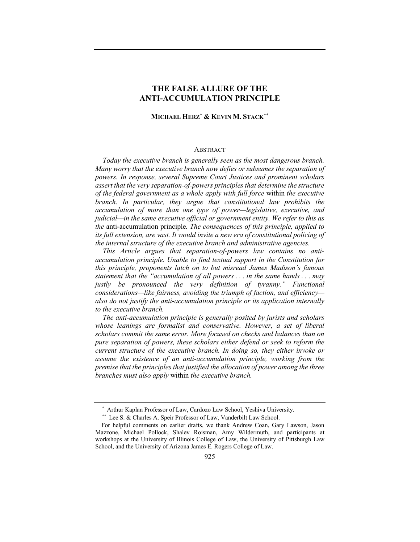# **THE FALSE ALLURE OF THE ANTI-ACCUMULATION PRINCIPLE**

# **MICHAEL HERZ**\* **& KEVIN M. STACK**\*\*

#### ABSTRACT

*Today the executive branch is generally seen as the most dangerous branch. Many worry that the executive branch now defies or subsumes the separation of powers. In response, several Supreme Court Justices and prominent scholars assert that the very separation-of-powers principles that determine the structure of the federal government as a whole apply with full force* within *the executive branch. In particular, they argue that constitutional law prohibits the accumulation of more than one type of power—legislative, executive, and judicial—in the same executive official or government entity. We refer to this as the* anti-accumulation principle*. The consequences of this principle, applied to its full extension, are vast. It would invite a new era of constitutional policing of the internal structure of the executive branch and administrative agencies.* 

*This Article argues that separation-of-powers law contains no antiaccumulation principle. Unable to find textual support in the Constitution for this principle, proponents latch on to but misread James Madison's famous statement that the "accumulation of all powers . . . in the same hands . . . may justly be pronounced the very definition of tyranny." Functional considerations—like fairness, avoiding the triumph of faction, and efficiency also do not justify the anti-accumulation principle or its application internally to the executive branch.*

*The anti-accumulation principle is generally posited by jurists and scholars whose leanings are formalist and conservative. However, a set of liberal scholars commit the same error. More focused on checks and balances than on pure separation of powers, these scholars either defend or seek to reform the current structure of the executive branch. In doing so, they either invoke or assume the existence of an anti-accumulation principle, working from the premise that the principles that justified the allocation of power among the three branches must also apply* within *the executive branch.*

<sup>\*</sup> Arthur Kaplan Professor of Law, Cardozo Law School, Yeshiva University.

<sup>\*\*</sup> Lee S. & Charles A. Speir Professor of Law, Vanderbilt Law School.

For helpful comments on earlier drafts, we thank Andrew Coan, Gary Lawson, Jason Mazzone, Michael Pollock, Shalev Roisman, Amy Wildermuth, and participants at workshops at the University of Illinois College of Law, the University of Pittsburgh Law School, and the University of Arizona James E. Rogers College of Law.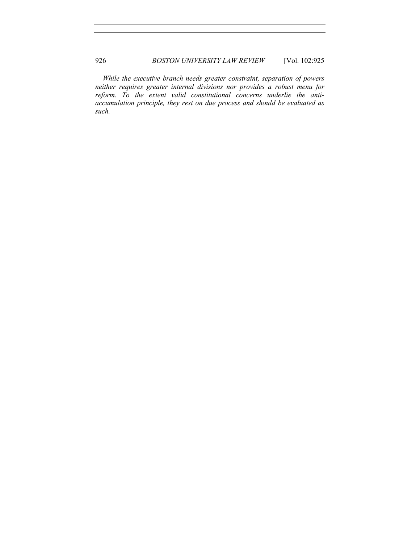*While the executive branch needs greater constraint, separation of powers neither requires greater internal divisions nor provides a robust menu for reform. To the extent valid constitutional concerns underlie the antiaccumulation principle, they rest on due process and should be evaluated as such.*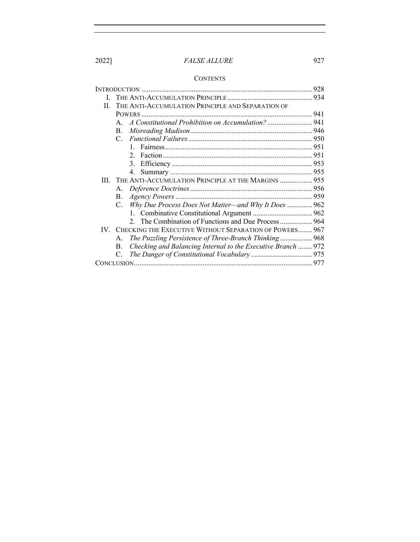# **CONTENTS**

|     |                                                                     | 928 |
|-----|---------------------------------------------------------------------|-----|
| L   |                                                                     |     |
| H.  | THE ANTI-ACCUMULATION PRINCIPLE AND SEPARATION OF                   |     |
|     |                                                                     |     |
|     | A Constitutional Prohibition on Accumulation? 941<br>$\mathsf{A}$ . |     |
|     | B.                                                                  |     |
|     | $C_{\cdot}$                                                         |     |
|     | $\mathbf{1}$                                                        |     |
|     | $\mathcal{D}_{\mathcal{L}}$                                         |     |
|     | $\mathcal{E}$                                                       |     |
|     | 4.                                                                  |     |
| Ш   | THE ANTI-ACCUMULATION PRINCIPLE AT THE MARGINS  955                 |     |
|     | А.                                                                  |     |
|     | В.                                                                  |     |
|     | Why Due Process Does Not Matter—and Why It Does  962<br>C.          |     |
|     |                                                                     |     |
|     |                                                                     |     |
| IV. | CHECKING THE EXECUTIVE WITHOUT SEPARATION OF POWERS 967             |     |
|     | The Puzzling Persistence of Three-Branch Thinking968<br>Α.          |     |
|     | Checking and Balancing Internal to the Executive Branch  972<br>B.  |     |
|     | C.                                                                  |     |
|     |                                                                     |     |
|     |                                                                     |     |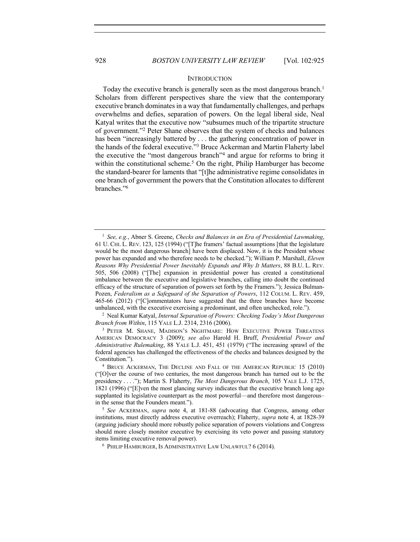#### **INTRODUCTION**

Today the executive branch is generally seen as the most dangerous branch. 1 Scholars from different perspectives share the view that the contemporary executive branch dominates in a way that fundamentally challenges, and perhaps overwhelms and defies, separation of powers. On the legal liberal side, Neal Katyal writes that the executive now "subsumes much of the tripartite structure of government."2 Peter Shane observes that the system of checks and balances has been "increasingly battered by . . . the gathering concentration of power in the hands of the federal executive."3 Bruce Ackerman and Martin Flaherty label the executive the "most dangerous branch"4 and argue for reforms to bring it within the constitutional scheme.<sup>5</sup> On the right, Philip Hamburger has become the standard-bearer for laments that "[t]he administrative regime consolidates in one branch of government the powers that the Constitution allocates to different branches."6

<sup>1</sup> *See, e.g.*, Abner S. Greene, *Checks and Balances in an Era of Presidential Lawmaking*, 61 U. CHI. L. REV. 123, 125 (1994) ("[T]he framers' factual assumptions [that the legislature would be the most dangerous branch] have been displaced. Now, it is the President whose power has expanded and who therefore needs to be checked."); William P. Marshall, *Eleven Reasons Why Presidential Power Inevitably Expands and Why It Matters*, 88 B.U. L. REV. 505, 506 (2008) ("[The] expansion in presidential power has created a constitutional imbalance between the executive and legislative branches, calling into doubt the continued efficacy of the structure of separation of powers set forth by the Framers."); Jessica Bulman-Pozen, *Federalism as a Safeguard of the Separation of Powers*, 112 COLUM. L. REV. 459, 465-66 (2012) ("[C]ommentators have suggested that the three branches have become unbalanced, with the executive exercising a predominant, and often unchecked, role.").

<sup>2</sup> Neal Kumar Katyal, *Internal Separation of Powers: Checking Today's Most Dangerous Branch from Within*, 115 YALE L.J. 2314, 2316 (2006).

<sup>3</sup> PETER M. SHANE, MADISON'S NIGHTMARE: HOW EXECUTIVE POWER THREATENS AMERICAN DEMOCRACY 3 (2009); *see also* Harold H. Bruff, *Presidential Power and Administrative Rulemaking*, 88 YALE L.J. 451, 451 (1979) ("The increasing sprawl of the federal agencies has challenged the effectiveness of the checks and balances designed by the Constitution.").

<sup>4</sup> BRUCE ACKERMAN, THE DECLINE AND FALL OF THE AMERICAN REPUBLIC 15 (2010) ("[O]ver the course of two centuries, the most dangerous branch has turned out to be the presidency . . . ."); Martin S. Flaherty, *The Most Dangerous Branch*, 105 YALE L.J. 1725, 1821 (1996) ("[E]ven the most glancing survey indicates that the executive branch long ago supplanted its legislative counterpart as the most powerful—and therefore most dangerous– in the sense that the Founders meant.").

<sup>5</sup> *See* ACKERMAN, *supra* note 4, at 181-88 (advocating that Congress, among other institutions, must directly address executive overreach); Flaherty, *supra* note 4, at 1828-39 (arguing judiciary should more robustly police separation of powers violations and Congress should more closely monitor executive by exercising its veto power and passing statutory items limiting executive removal power).

<sup>6</sup> PHILIP HAMBURGER, IS ADMINISTRATIVE LAW UNLAWFUL? 6 (2014).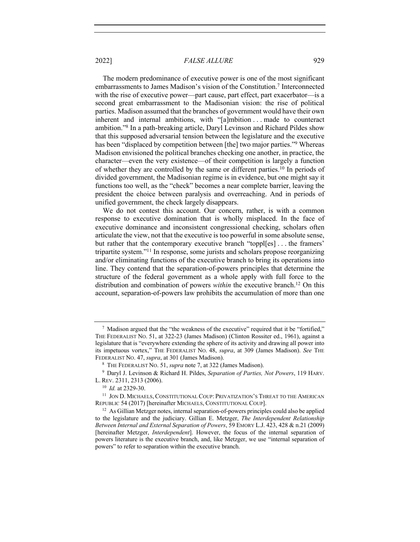The modern predominance of executive power is one of the most significant embarrassments to James Madison's vision of the Constitution.7 Interconnected with the rise of executive power—part cause, part effect, part exacerbator—is a second great embarrassment to the Madisonian vision: the rise of political parties. Madison assumed that the branches of government would have their own inherent and internal ambitions, with "[a]mbition . . . made to counteract ambition."8 In a path-breaking article, Daryl Levinson and Richard Pildes show that this supposed adversarial tension between the legislature and the executive has been "displaced by competition between [the] two major parties."9 Whereas Madison envisioned the political branches checking one another, in practice, the character—even the very existence—of their competition is largely a function of whether they are controlled by the same or different parties.10 In periods of divided government, the Madisonian regime is in evidence, but one might say it functions too well, as the "check" becomes a near complete barrier, leaving the president the choice between paralysis and overreaching. And in periods of unified government, the check largely disappears.

We do not contest this account. Our concern, rather, is with a common response to executive domination that is wholly misplaced. In the face of executive dominance and inconsistent congressional checking, scholars often articulate the view, not that the executive is too powerful in some absolute sense, but rather that the contemporary executive branch "toppl[es] . . . the framers' tripartite system."11 In response, some jurists and scholars propose reorganizing and/or eliminating functions of the executive branch to bring its operations into line. They contend that the separation-of-powers principles that determine the structure of the federal government as a whole apply with full force to the distribution and combination of powers *within* the executive branch.12 On this account, separation-of-powers law prohibits the accumulation of more than one

 $7$  Madison argued that the "the weakness of the executive" required that it be "fortified." THE FEDERALIST NO. 51, at 322-23 (James Madison) (Clinton Rossiter ed., 1961), against a legislature that is "everywhere extending the sphere of its activity and drawing all power into its impetuous vortex," THE FEDERALIST NO. 48, *supra*, at 309 (James Madison). *See* THE FEDERALIST NO. 47, *supra*, at 301 (James Madison).

<sup>8</sup> THE FEDERALIST NO. 51, *supra* note 7, at 322 (James Madison).

<sup>9</sup> Daryl J. Levinson & Richard H. Pildes, *Separation of Parties, Not Powers*, 119 HARV. L. REV. 2311, 2313 (2006).

<sup>10</sup> *Id.* at 2329-30.

<sup>11</sup> JON D. MICHAELS, CONSTITUTIONAL COUP: PRIVATIZATION'S THREAT TO THE AMERICAN REPUBLIC 54 (2017) [hereinafter MICHAELS, CONSTITUTIONAL COUP].

 $12$  As Gillian Metzger notes, internal separation-of-powers principles could also be applied to the legislature and the judiciary. Gillian E. Metzger, *The Interdependent Relationship Between Internal and External Separation of Powers*, 59 EMORY L.J. 423, 428 & n.21 (2009) [hereinafter Metzger, *Interdependent*]. However, the focus of the internal separation of powers literature is the executive branch, and, like Metzger, we use "internal separation of powers" to refer to separation within the executive branch.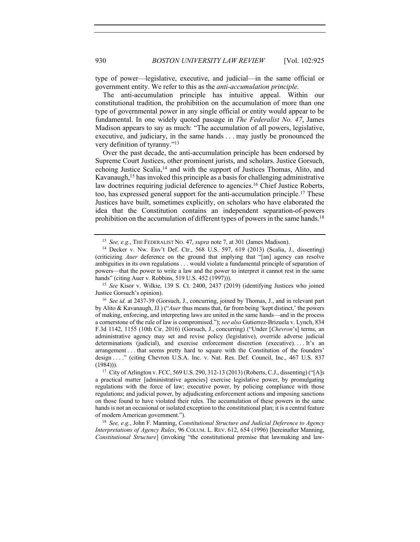type of power—legislative, executive, and judicial—in the same official or government entity. We refer to this as the *anti-accumulation principle*.

The anti-accumulation principle has intuitive appeal. Within our constitutional tradition, the prohibition on the accumulation of more than one type of governmental power in any single official or entity would appear to be fundamental. In one widely quoted passage in *The Federalist No. 47*, James Madison appears to say as much: "The accumulation of all powers, legislative, executive, and judiciary, in the same hands . . . may justly be pronounced the very definition of tyranny."13

Over the past decade, the anti-accumulation principle has been endorsed by Supreme Court Justices, other prominent jurists, and scholars. Justice Gorsuch, echoing Justice Scalia,<sup>14</sup> and with the support of Justices Thomas, Alito, and Kavanaugh,<sup>15</sup> has invoked this principle as a basis for challenging administrative law doctrines requiring judicial deference to agencies.<sup>16</sup> Chief Justice Roberts, too, has expressed general support for the anti-accumulation principle.17 These Justices have built, sometimes explicitly, on scholars who have elaborated the idea that the Constitution contains an independent separation-of-powers prohibition on the accumulation of different types of powers in the same hands.<sup>18</sup>

<sup>18</sup> *See, e.g.*, John F. Manning, *Constitutional Structure and Judicial Deference to Agency Interpretations of Agency Rules*, 96 COLUM. L. REV. 612, 654 (1996) [hereinafter Manning, *Constitutional Structure*] (invoking "the constitutional premise that lawmaking and law-

<sup>13</sup> *See, e.g.*, THE FEDERALIST NO. 47, *supra* note 7, at 301 (James Madison).

<sup>14</sup> Decker v. Nw. Env't Def. Ctr., 568 U.S. 597, 619 (2013) (Scalia, J., dissenting) (criticizing *Auer* deference on the ground that implying that "[an] agency can resolve ambiguities in its own regulations . . . would violate a fundamental principle of separation of powers—that the power to write a law and the power to interpret it cannot rest in the same hands" (citing Auer v. Robbins, 519 U.S. 452 (1997))).

<sup>15</sup> *See* Kisor v. Wilkie, 139 S. Ct. 2400, 2437 (2019) (identifying Justices who joined Justice Gorsuch's opinion).

<sup>16</sup> *See id.* at 2437-39 (Gorsuch, J., concurring, joined by Thomas, J., and in relevant part by Alito & Kavanaugh, JJ.) ("*Auer* thus means that, far from being 'kept distinct,' the powers of making, enforcing, and interpreting laws are united in the same hands—and in the process a cornerstone of the rule of law is compromised."); *see also* Gutierrez-Brizuela v. Lynch, 834 F.3d 1142, 1155 (10th Cir. 2016) (Gorsuch, J., concurring) ("Under [*Chevron*'s] terms, an administrative agency may set and revise policy (legislative), override adverse judicial determinations (judicial), and exercise enforcement discretion (executive). . . . It's an arrangement . . . that seems pretty hard to square with the Constitution of the founders' design . . . . " (citing Chevron U.S.A. Inc. v. Nat. Res. Def. Council, Inc., 467 U.S. 837 (1984))).

<sup>17</sup> City of Arlington v. FCC, 569 U.S. 290, 312-13 (2013) (Roberts, C.J., dissenting) ("[A]s a practical matter [administrative agencies] exercise legislative power, by promulgating regulations with the force of law; executive power, by policing compliance with those regulations; and judicial power, by adjudicating enforcement actions and imposing sanctions on those found to have violated their rules. The accumulation of these powers in the same hands is not an occasional or isolated exception to the constitutional plan; it is a central feature of modern American government.").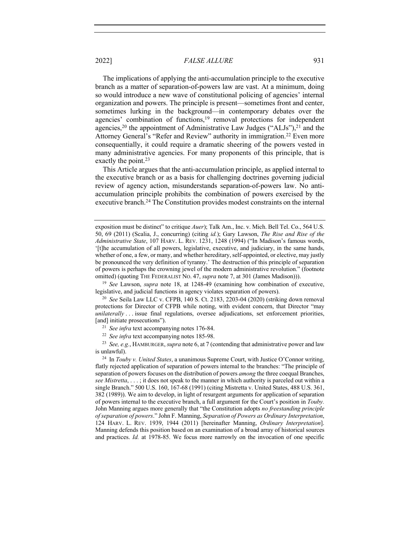The implications of applying the anti-accumulation principle to the executive branch as a matter of separation-of-powers law are vast. At a minimum, doing so would introduce a new wave of constitutional policing of agencies' internal organization and powers. The principle is present—sometimes front and center, sometimes lurking in the background—in contemporary debates over the agencies' combination of functions,<sup>19</sup> removal protections for independent agencies,<sup>20</sup> the appointment of Administrative Law Judges ("ALJs"), $^{21}$  and the Attorney General's "Refer and Review" authority in immigration.<sup>22</sup> Even more consequentially, it could require a dramatic sheering of the powers vested in many administrative agencies. For many proponents of this principle, that is exactly the point.<sup>23</sup>

This Article argues that the anti-accumulation principle, as applied internal to the executive branch or as a basis for challenging doctrines governing judicial review of agency action, misunderstands separation-of-powers law. No antiaccumulation principle prohibits the combination of powers exercised by the executive branch.<sup>24</sup> The Constitution provides modest constraints on the internal

<sup>19</sup> *See* Lawson, *supra* note 18, at 1248-49 (examining how combination of executive, legislative, and judicial functions in agency violates separation of powers).

<sup>20</sup> *See* Seila Law LLC v. CFPB, 140 S. Ct. 2183, 2203-04 (2020) (striking down removal protections for Director of CFPB while noting, with evident concern, that Director "may *unilaterally* . . . issue final regulations, oversee adjudications, set enforcement priorities, [and] initiate prosecutions").

<sup>23</sup> *See, e.g.*, HAMBURGER, *supra* note 6, at 7 (contending that administrative power and law is unlawful).

<sup>24</sup> In *Touby v. United States*, a unanimous Supreme Court, with Justice O'Connor writing, flatly rejected application of separation of powers internal to the branches: "The principle of separation of powers focuses on the distribution of powers *among* the three coequal Branches, *see Mistretta*, . . . ; it does not speak to the manner in which authority is parceled out within a single Branch." 500 U.S. 160, 167-68 (1991) (citing Mistretta v. United States, 488 U.S. 361, 382 (1989)). We aim to develop, in light of resurgent arguments for application of separation of powers internal to the executive branch, a full argument for the Court's position in *Touby.*  John Manning argues more generally that "the Constitution adopts *no freestanding principle of separation of powers*." John F. Manning, *Separation of Powers as Ordinary Interpretation*, 124 HARV. L. REV. 1939, 1944 (2011) [hereinafter Manning, *Ordinary Interpretation*]. Manning defends this position based on an examination of a broad array of historical sources and practices. *Id.* at 1978-85. We focus more narrowly on the invocation of one specific

exposition must be distinct" to critique *Auer*); Talk Am., Inc. v. Mich. Bell Tel. Co., 564 U.S. 50, 69 (2011) (Scalia, J., concurring) (citing *id.*); Gary Lawson, *The Rise and Rise of the Administrative State*, 107 HARV. L. REV. 1231, 1248 (1994) ("In Madison's famous words, '[t]he accumulation of all powers, legislative, executive, and judiciary, in the same hands, whether of one, a few, or many, and whether hereditary, self-appointed, or elective, may justly be pronounced the very definition of tyranny.' The destruction of this principle of separation of powers is perhaps the crowning jewel of the modern administrative revolution." (footnote omitted) (quoting THE FEDERALIST NO. 47, *supra* note 7, at 301 (James Madison))).

<sup>21</sup> *See infra* text accompanying notes 176-84.

<sup>22</sup> *See infra* text accompanying notes 185-98.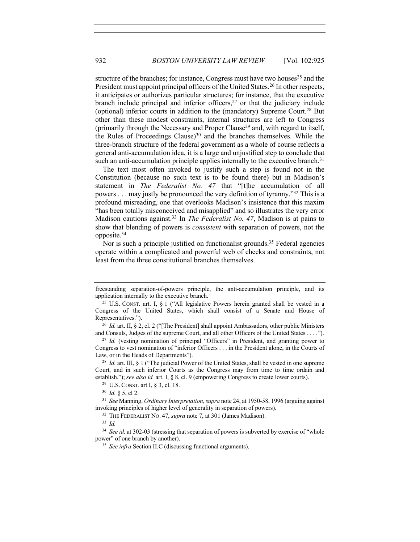structure of the branches; for instance, Congress must have two houses<sup>25</sup> and the President must appoint principal officers of the United States.<sup>26</sup> In other respects, it anticipates or authorizes particular structures; for instance, that the executive branch include principal and inferior officers, $27$  or that the judiciary include (optional) inferior courts in addition to the (mandatory) Supreme Court.28 But other than these modest constraints, internal structures are left to Congress (primarily through the Necessary and Proper Clause<sup>29</sup> and, with regard to itself, the Rules of Proceedings Clause) $30$  and the branches themselves. While the three-branch structure of the federal government as a whole of course reflects a general anti-accumulation idea, it is a large and unjustified step to conclude that such an anti-accumulation principle applies internally to the executive branch.<sup>31</sup>

The text most often invoked to justify such a step is found not in the Constitution (because no such text is to be found there) but in Madison's statement in *The Federalist No. 47* that "[t]he accumulation of all powers . . . may justly be pronounced the very definition of tyranny."32 This is a profound misreading, one that overlooks Madison's insistence that this maxim "has been totally misconceived and misapplied" and so illustrates the very error Madison cautions against.33 In *The Federalist No. 47*, Madison is at pains to show that blending of powers is *consistent* with separation of powers, not the opposite.34

Nor is such a principle justified on functionalist grounds.35 Federal agencies operate within a complicated and powerful web of checks and constraints, not least from the three constitutional branches themselves.

<sup>29</sup> U.S. CONST. art I, § 3, cl. 18.

<sup>34</sup> See id. at 302-03 (stressing that separation of powers is subverted by exercise of "whole power" of one branch by another).

<sup>35</sup> *See infra* Section II.C (discussing functional arguments).

freestanding separation-of-powers principle, the anti-accumulation principle, and its application internally to the executive branch.

<sup>&</sup>lt;sup>25</sup> U.S. CONST. art. I,  $\S$  1 ("All legislative Powers herein granted shall be vested in a Congress of the United States, which shall consist of a Senate and House of Representatives.").

<sup>&</sup>lt;sup>26</sup> *Id.* art. II, § 2, cl. 2 ("[The President] shall appoint Ambassadors, other public Ministers and Consuls, Judges of the supreme Court, and all other Officers of the United States *. . . .*").

<sup>&</sup>lt;sup>27</sup> *Id.* (vesting nomination of principal "Officers" in President, and granting power to Congress to vest nomination of "inferior Officers . . . in the President alone, in the Courts of Law, or in the Heads of Departments").

<sup>28</sup> *Id.* art. III, § 1 ("The judicial Power of the United States, shall be vested in one supreme Court, and in such inferior Courts as the Congress may from time to time ordain and establish."); *see also id.* art. I, § 8, cl. 9 (empowering Congress to create lower courts).

<sup>30</sup> *Id.* § 5, cl 2.

<sup>31</sup> *See* Manning, *Ordinary Interpretation*, *supra* note 24, at 1950-58, 1996 (arguing against invoking principles of higher level of generality in separation of powers).

<sup>32</sup> THE FEDERALIST NO. 47, *supra* note 7, at 301 (James Madison).

<sup>33</sup> *Id.*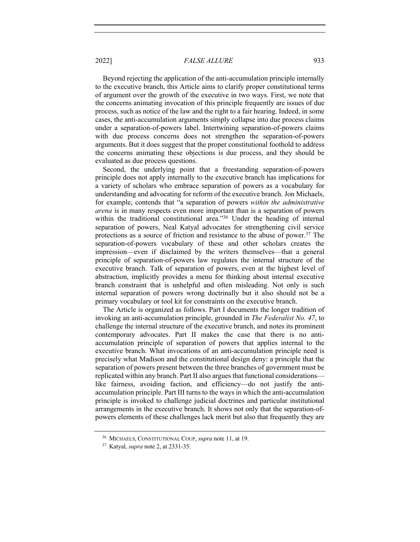Beyond rejecting the application of the anti-accumulation principle internally to the executive branch, this Article aims to clarify proper constitutional terms of argument over the growth of the executive in two ways. First, we note that the concerns animating invocation of this principle frequently are issues of due process, such as notice of the law and the right to a fair hearing. Indeed, in some cases, the anti-accumulation arguments simply collapse into due process claims under a separation-of-powers label. Intertwining separation-of-powers claims with due process concerns does not strengthen the separation-of-powers arguments. But it does suggest that the proper constitutional foothold to address the concerns animating these objections is due process, and they should be evaluated as due process questions.

Second, the underlying point that a freestanding separation-of-powers principle does not apply internally to the executive branch has implications for a variety of scholars who embrace separation of powers as a vocabulary for understanding and advocating for reform of the executive branch. Jon Michaels, for example, contends that "a separation of powers *within the administrative arena* is in many respects even more important than is a separation of powers within the traditional constitutional area."<sup>36</sup> Under the heading of internal separation of powers, Neal Katyal advocates for strengthening civil service protections as a source of friction and resistance to the abuse of power.37 The separation-of-powers vocabulary of these and other scholars creates the impression—even if disclaimed by the writers themselves—that a general principle of separation-of-powers law regulates the internal structure of the executive branch. Talk of separation of powers, even at the highest level of abstraction, implicitly provides a menu for thinking about internal executive branch constraint that is unhelpful and often misleading. Not only is such internal separation of powers wrong doctrinally but it also should not be a primary vocabulary or tool kit for constraints on the executive branch.

The Article is organized as follows. Part I documents the longer tradition of invoking an anti-accumulation principle, grounded in *The Federalist No. 47*, to challenge the internal structure of the executive branch, and notes its prominent contemporary advocates. Part II makes the case that there is no antiaccumulation principle of separation of powers that applies internal to the executive branch. What invocations of an anti-accumulation principle need is precisely what Madison and the constitutional design deny: a principle that the separation of powers present between the three branches of government must be replicated within any branch. Part II also argues that functional considerations like fairness, avoiding faction, and efficiency—do not justify the antiaccumulation principle. Part III turns to the ways in which the anti-accumulation principle is invoked to challenge judicial doctrines and particular institutional arrangements in the executive branch. It shows not only that the separation-ofpowers elements of these challenges lack merit but also that frequently they are

<sup>36</sup> MICHAELS, CONSTITUTIONAL COUP, *supra* note 11, at 19.

<sup>37</sup> Katyal, *supra* note 2, at 2331-35.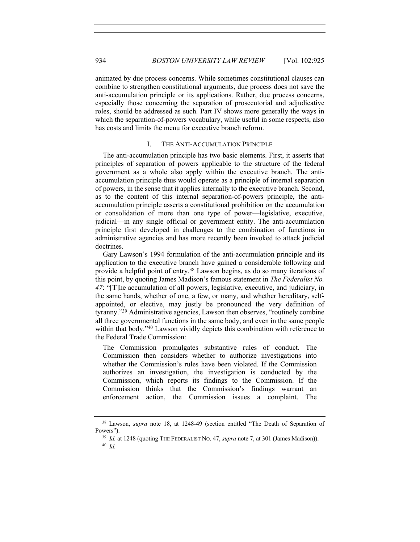animated by due process concerns. While sometimes constitutional clauses can combine to strengthen constitutional arguments, due process does not save the anti-accumulation principle or its applications. Rather, due process concerns, especially those concerning the separation of prosecutorial and adjudicative roles, should be addressed as such. Part IV shows more generally the ways in which the separation-of-powers vocabulary, while useful in some respects, also has costs and limits the menu for executive branch reform.

#### I. THE ANTI-ACCUMULATION PRINCIPLE

The anti-accumulation principle has two basic elements. First, it asserts that principles of separation of powers applicable to the structure of the federal government as a whole also apply within the executive branch. The antiaccumulation principle thus would operate as a principle of internal separation of powers, in the sense that it applies internally to the executive branch. Second, as to the content of this internal separation-of-powers principle, the antiaccumulation principle asserts a constitutional prohibition on the accumulation or consolidation of more than one type of power—legislative, executive, judicial—in any single official or government entity. The anti-accumulation principle first developed in challenges to the combination of functions in administrative agencies and has more recently been invoked to attack judicial doctrines.

Gary Lawson's 1994 formulation of the anti-accumulation principle and its application to the executive branch have gained a considerable following and provide a helpful point of entry.<sup>38</sup> Lawson begins, as do so many iterations of this point, by quoting James Madison's famous statement in *The Federalist No. 47*: "[T]he accumulation of all powers, legislative, executive, and judiciary, in the same hands, whether of one, a few, or many, and whether hereditary, selfappointed, or elective, may justly be pronounced the very definition of tyranny."39 Administrative agencies, Lawson then observes, "routinely combine all three governmental functions in the same body, and even in the same people within that body."<sup>40</sup> Lawson vividly depicts this combination with reference to the Federal Trade Commission:

The Commission promulgates substantive rules of conduct. The Commission then considers whether to authorize investigations into whether the Commission's rules have been violated. If the Commission authorizes an investigation, the investigation is conducted by the Commission, which reports its findings to the Commission. If the Commission thinks that the Commission's findings warrant an enforcement action, the Commission issues a complaint. The

<sup>38</sup> Lawson, *supra* note 18, at 1248-49 (section entitled "The Death of Separation of Powers").

<sup>39</sup> *Id.* at 1248 (quoting THE FEDERALIST NO. 47, *supra* note 7, at 301 (James Madison)). <sup>40</sup> *Id.*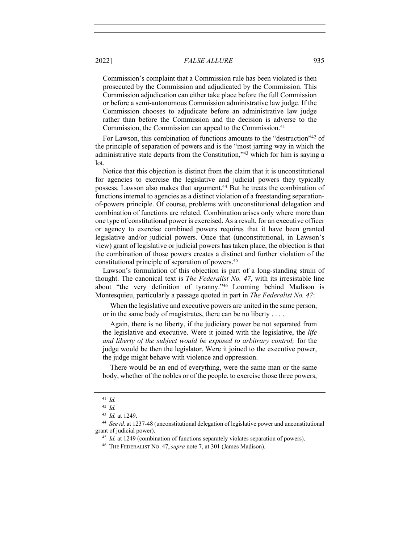Commission's complaint that a Commission rule has been violated is then prosecuted by the Commission and adjudicated by the Commission. This Commission adjudication can either take place before the full Commission or before a semi-autonomous Commission administrative law judge. If the Commission chooses to adjudicate before an administrative law judge rather than before the Commission and the decision is adverse to the Commission, the Commission can appeal to the Commission.<sup>41</sup>

For Lawson, this combination of functions amounts to the "destruction"<sup>42</sup> of the principle of separation of powers and is the "most jarring way in which the administrative state departs from the Constitution,"43 which for him is saying a lot.

Notice that this objection is distinct from the claim that it is unconstitutional for agencies to exercise the legislative and judicial powers they typically possess. Lawson also makes that argument.<sup>44</sup> But he treats the combination of functions internal to agencies as a distinct violation of a freestanding separationof-powers principle. Of course, problems with unconstitutional delegation and combination of functions are related. Combination arises only where more than one type of constitutional power is exercised. As a result, for an executive officer or agency to exercise combined powers requires that it have been granted legislative and/or judicial powers. Once that (unconstitutional, in Lawson's view) grant of legislative or judicial powers has taken place, the objection is that the combination of those powers creates a distinct and further violation of the constitutional principle of separation of powers.45

Lawson's formulation of this objection is part of a long-standing strain of thought. The canonical text is *The Federalist No. 47*, with its irresistable line about "the very definition of tyranny."46 Looming behind Madison is Montesquieu, particularly a passage quoted in part in *The Federalist No. 47*:

When the legislative and executive powers are united in the same person, or in the same body of magistrates, there can be no liberty . . . .

Again, there is no liberty, if the judiciary power be not separated from the legislative and executive. Were it joined with the legislative, the *life and liberty of the subject would be exposed to arbitrary control;* for the judge would be then the legislator. Were it joined to the executive power, the judge might behave with violence and oppression.

There would be an end of everything, were the same man or the same body, whether of the nobles or of the people, to exercise those three powers,

<sup>41</sup> *Id.*

<sup>42</sup> *Id.*

<sup>43</sup> *Id.* at 1249.

<sup>44</sup> *See id.* at 1237-48 (unconstitutional delegation of legislative power and unconstitutional grant of judicial power).

<sup>&</sup>lt;sup>45</sup> *Id.* at 1249 (combination of functions separately violates separation of powers).

<sup>46</sup> THE FEDERALIST NO. 47,*supra* note 7, at 301 (James Madison).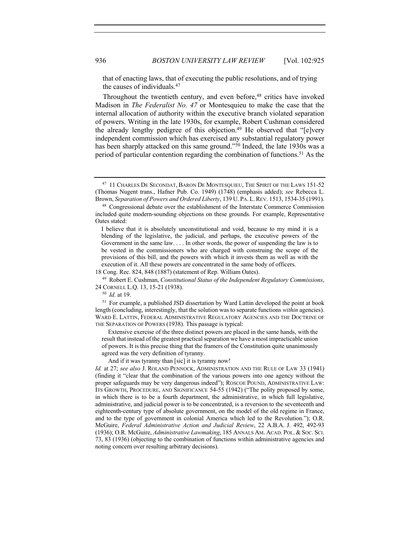that of enacting laws, that of executing the public resolutions, and of trying the causes of individuals.47

Throughout the twentieth century, and even before,<sup>48</sup> critics have invoked Madison in *The Federalist No. 47* or Montesquieu to make the case that the internal allocation of authority within the executive branch violated separation of powers. Writing in the late 1930s, for example, Robert Cushman considered the already lengthy pedigree of this objection.<sup>49</sup> He observed that "[e]very independent commission which has exercised any substantial regulatory power has been sharply attacked on this same ground."<sup>50</sup> Indeed, the late 1930s was a period of particular contention regarding the combination of functions.<sup>51</sup> As the

<sup>47</sup> 11 CHARLES DE SECONDAT, BARON DE MONTESQUIEU, THE SPIRIT OF THE LAWS 151-52 (Thomas Nugent trans., Hafner Pub. Co. 1949) (1748) (emphasis added); *see* Rebecca L. Brown, *Separation of Powers and Ordered Liberty*, 139 U. PA. L.REV. 1513, 1534-35 (1991).

<sup>48</sup> Congressional debate over the establishment of the Interstate Commerce Commission included quite modern-sounding objections on these grounds. For example, Representative Oates stated:

I believe that it is absolutely unconstitutional and void, because to my mind it is a blending of the legislative, the judicial, and perhaps, the executive powers of the Government in the same law. . . . In other words, the power of suspending the law is to be vested in the commissioners who are charged with construing the scope of the provisions of this bill, and the powers with which it invests them as well as with the execution of it. All these powers are concentrated in the same body of officers.

<sup>18</sup> Cong. Rec. 824, 848 (1887) (statement of Rep. William Oates).

<sup>49</sup> Robert E. Cushman, *Constitutional Status of the Independent Regulatory Commissions*, 24 CORNELL L.Q. 13, 15-21 (1938).

<sup>50</sup> *Id.* at 19.

<sup>51</sup> For example, a published JSD dissertation by Ward Lattin developed the point at book length (concluding, interestingly, that the solution was to separate functions *within* agencies). WARD E. LATTIN, FEDERAL ADMINISTRATIVE REGULATORY AGENCIES AND THE DOCTRINE OF THE SEPARATION OF POWERS (1938). This passage is typical:

Extensive exercise of the three distinct powers are placed in the same hands, with the result that instead of the greatest practical separation we have a most impracticable union of powers. It is this precise thing that the framers of the Constitution quite unanimously agreed was the very definition of tyranny.

And if it was tyranny than [sic] it is tyranny now!

*Id.* at 27; *see also* J. ROLAND PENNOCK, ADMINISTRATION AND THE RULE OF LAW 33 (1941) (finding it "clear that the combination of the various powers into one agency without the proper safeguards may be very dangerous indeed"); ROSCOE POUND, ADMINISTRATIVE LAW: ITS GROWTH, PROCEDURE, AND SIGNIFICANCE 54-55 (1942) ("The polity proposed by some, in which there is to be a fourth department, the administrative, in which full legislative, administrative, and judicial power is to be concentrated, is a reversion to the seventeenth and eighteenth-century type of absolute government, on the model of the old regime in France, and to the type of government in colonial America which led to the Revolution."); O.R. McGuire, *Federal Administrative Action and Judicial Review*, 22 A.B.A. J. 492, 492-93 (1936); O.R. McGuire, *Administrative Lawmaking*, 185 ANNALS AM. ACAD. POL. & SOC. SCI. 73, 83 (1936) (objecting to the combination of functions within administrative agencies and noting concern over resulting arbitrary decisions).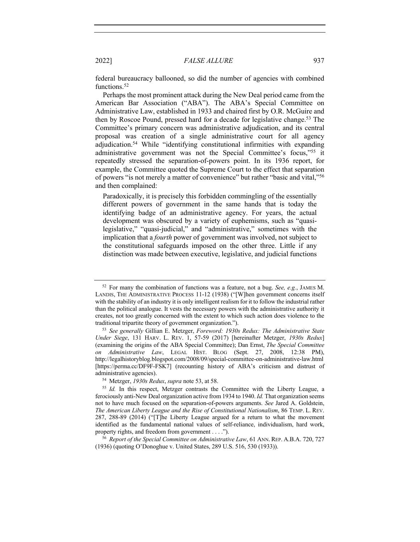federal bureaucracy ballooned, so did the number of agencies with combined functions.<sup>52</sup>

Perhaps the most prominent attack during the New Deal period came from the American Bar Association ("ABA"). The ABA's Special Committee on Administrative Law, established in 1933 and chaired first by O.R. McGuire and then by Roscoe Pound, pressed hard for a decade for legislative change.<sup>53</sup> The Committee's primary concern was administrative adjudication, and its central proposal was creation of a single administrative court for all agency adjudication.54 While "identifying constitutional infirmities with expanding administrative government was not the Special Committee's focus,"55 it repeatedly stressed the separation-of-powers point. In its 1936 report, for example, the Committee quoted the Supreme Court to the effect that separation of powers "is not merely a matter of convenience" but rather "basic and vital,"56 and then complained:

Paradoxically, it is precisely this forbidden commingling of the essentially different powers of government in the same hands that is today the identifying badge of an administrative agency. For years, the actual development was obscured by a variety of euphemisms, such as "quasilegislative," "quasi-judicial," and "administrative," sometimes with the implication that a *fourth* power of government was involved, not subject to the constitutional safeguards imposed on the other three. Little if any distinction was made between executive, legislative, and judicial functions

<sup>52</sup> For many the combination of functions was a feature, not a bug. *See, e.g.*, JAMES M. LANDIS, THE ADMINISTRATIVE PROCESS 11-12 (1938) ("[W]hen government concerns itself with the stability of an industry it is only intelligent realism for it to follow the industrial rather than the political analogue. It vests the necessary powers with the administrative authority it creates, not too greatly concerned with the extent to which such action does violence to the traditional tripartite theory of government organization.").

<sup>53</sup> *See generally* Gillian E. Metzger, *Foreword: 1930s Redux: The Administrative State Under Siege*, 131 HARV. L. REV. 1, 57-59 (2017) [hereinafter Metzger, *1930s Redux*] (examining the origins of the ABA Special Committee); Dan Ernst, *The Special Committee on Administrative Law*, LEGAL HIST. BLOG (Sept. 27, 2008, 12:38 PM), http://legalhistoryblog.blogspot.com/2008/09/special-committee-on-administrative-law.html [https://perma.cc/DF9F-FSK7] (recounting history of ABA's criticism and distrust of administrative agencies).

<sup>54</sup> Metzger, *1930s Redux*, *supra* note 53, at 58.

<sup>&</sup>lt;sup>55</sup> *Id.* In this respect, Metzger contrasts the Committee with the Liberty League, a ferociously anti-New Deal organization active from 1934 to 1940. *Id.* That organization seems not to have much focused on the separation-of-powers arguments. *See* Jared A. Goldstein, *The American Liberty League and the Rise of Constitutional Nationalism*, 86 TEMP. L. REV. 287, 288-89 (2014) ("[T]he Liberty League argued for a return to what the movement identified as the fundamental national values of self-reliance, individualism, hard work, property rights, and freedom from government . . . .").

<sup>56</sup> *Report of the Special Committee on Administrative Law*, 61 ANN. REP. A.B.A. 720, 727 (1936) (quoting O'Donoghue v. United States, 289 U.S. 516, 530 (1933)).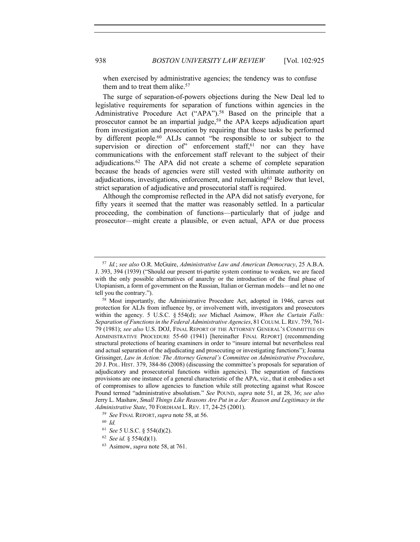when exercised by administrative agencies; the tendency was to confuse them and to treat them alike.<sup>57</sup>

The surge of separation-of-powers objections during the New Deal led to legislative requirements for separation of functions within agencies in the Administrative Procedure Act ("APA").<sup>58</sup> Based on the principle that a prosecutor cannot be an impartial judge,<sup>59</sup> the APA keeps adjudication apart from investigation and prosecution by requiring that those tasks be performed by different people.<sup>60</sup> ALJs cannot "be responsible to or subject to the supervision or direction of" enforcement staff, $61$  nor can they have communications with the enforcement staff relevant to the subject of their adjudications.62 The APA did not create a scheme of complete separation because the heads of agencies were still vested with ultimate authority on adjudications, investigations, enforcement, and rulemaking63 Below that level, strict separation of adjudicative and prosecutorial staff is required.

Although the compromise reflected in the APA did not satisfy everyone, for fifty years it seemed that the matter was reasonably settled. In a particular proceeding, the combination of functions—particularly that of judge and prosecutor—might create a plausible, or even actual, APA or due process

<sup>59</sup> *See* FINAL REPORT,*supra* note 58, at 56.

<sup>62</sup> *See id.* § 554(d)(1).

<sup>57</sup> *Id.*; *see also* O.R. McGuire, *Administrative Law and American Democracy*, 25 A.B.A. J. 393, 394 (1939) ("Should our present tri-partite system continue to weaken, we are faced with the only possible alternatives of anarchy or the introduction of the final phase of Utopianism, a form of government on the Russian, Italian or German models—and let no one tell you the contrary.").

<sup>58</sup> Most importantly, the Administrative Procedure Act, adopted in 1946, carves out protection for ALJs from influence by, or involvement with, investigators and prosecutors within the agency. 5 U.S.C. § 554(d); *see* Michael Asimow, *When the Curtain Falls: Separation of Functions in the Federal Administrative Agencies*, 81 COLUM.L.REV. 759, 761- 79 (1981); *see also* U.S. DOJ, FINAL REPORT OF THE ATTORNEY GENERAL'S COMMITTEE ON ADMINISTRATIVE PROCEDURE 55-60 (1941) [hereinafter FINAL REPORT] (recommending structural protections of hearing examiners in order to "insure internal but nevertheless real and actual separation of the adjudicating and prosecuting or investigating functions"); Joanna Grissinger, *Law in Action: The Attorney General's Committee on Administrative Procedure*, 20 J. POL. HIST. 379, 384-86 (2008) (discussing the committee's proposals for separation of adjudicatory and prosecutorial functions within agencies). The separation of functions provisions are one instance of a general characteristic of the APA, viz., that it embodies a set of compromises to allow agencies to function while still protecting against what Roscoe Pound termed "administrative absolutism." *See* POUND, *supra* note 51, at 28, 36; *see also* Jerry L. Mashaw, *Small Things Like Reasons Are Put in a Jar: Reason and Legitimacy in the Administrative State*, 70 FORDHAM L. REV. 17, 24-25 (2001).

<sup>60</sup> *Id.*

<sup>61</sup> *See* 5 U.S.C. § 554(d)(2).

<sup>63</sup> Asimow, *supra* note 58, at 761.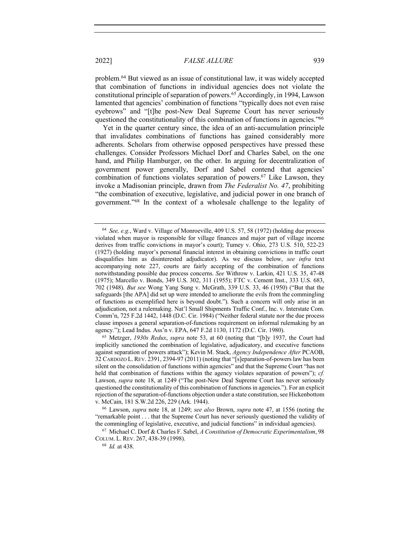problem.64 But viewed as an issue of constitutional law, it was widely accepted that combination of functions in individual agencies does not violate the constitutional principle of separation of powers.65 Accordingly, in 1994, Lawson lamented that agencies' combination of functions "typically does not even raise eyebrows" and "[t]he post-New Deal Supreme Court has never seriously questioned the constitutionality of this combination of functions in agencies."66

Yet in the quarter century since, the idea of an anti-accumulation principle that invalidates combinations of functions has gained considerably more adherents. Scholars from otherwise opposed perspectives have pressed these challenges. Consider Professors Michael Dorf and Charles Sabel, on the one hand, and Philip Hamburger, on the other. In arguing for decentralization of government power generally, Dorf and Sabel contend that agencies' combination of functions violates separation of powers.<sup>67</sup> Like Lawson, they invoke a Madisonian principle, drawn from *The Federalist No. 47*, prohibiting "the combination of executive, legislative, and judicial power in one branch of government."68 In the context of a wholesale challenge to the legality of

<sup>64</sup> *See, e.g.*, Ward v. Village of Monroeville, 409 U.S. 57, 58 (1972) (holding due process violated when mayor is responsible for village finances and major part of village income derives from traffic convictions in mayor's court); Tumey v. Ohio, 273 U.S. 510, 522-23 (1927) (holding mayor's personal financial interest in obtaining convictions in traffic court disqualifies him as disinterested adjudicator). As we discuss below, *see infra* text accompanying note 227, courts are fairly accepting of the combination of functions notwithstanding possible due process concerns. *See* Withrow v. Larkin, 421 U.S. 35, 47-48 (1975); Marcello v. Bonds, 349 U.S. 302, 311 (1955); FTC v. Cement Inst., 333 U.S. 683, 702 (1948). *But see* Wong Yang Sung v. McGrath, 339 U.S. 33, 46 (1950) ("But that the safeguards [the APA] did set up were intended to ameliorate the evils from the commingling of functions as exemplified here is beyond doubt."). Such a concern will only arise in an adjudication, not a rulemaking. Nat'l Small Shipments Traffic Conf., Inc. v. Interstate Com. Comm'n, 725 F.2d 1442, 1448 (D.C. Cir. 1984) ("Neither federal statute nor the due process clause imposes a general separation-of-functions requirement on informal rulemaking by an agency."); Lead Indus. Ass'n v. EPA, 647 F.2d 1130, 1172 (D.C. Cir. 1980).

<sup>65</sup> Metzger, *1930s Redux*, *supra* note 53, at 60 (noting that "[b]y 1937, the Court had implicitly sanctioned the combination of legislative, adjudicatory, and executive functions against separation of powers attack"); Kevin M. Stack, *Agency Independence After* PCAOB, 32 CARDOZO L.REV. 2391, 2394-97 (2011) (noting that "[s]eparation-of-powers law has been silent on the consolidation of functions within agencies" and that the Supreme Court "has not held that combination of functions within the agency violates separation of powers"); *cf.*  Lawson, *supra* note 18, at 1249 ("The post-New Deal Supreme Court has never seriously questioned the constitutionality of this combination of functions in agencies."). For an explicit rejection of the separation-of-functions objection under a state constitution, see Hickenbottom v. McCain, 181 S.W.2d 226, 229 (Ark. 1944).

<sup>66</sup> Lawson, *supra* note 18, at 1249; *see also* Brown, *supra* note 47, at 1556 (noting the "remarkable point . . . that the Supreme Court has never seriously questioned the validity of the commingling of legislative, executive, and judicial functions" in individual agencies).

<sup>67</sup> Michael C. Dorf & Charles F. Sabel, *A Constitution of Democratic Experimentalism*, 98 COLUM. L. REV. 267, 438-39 (1998).

<sup>68</sup> *Id.* at 438.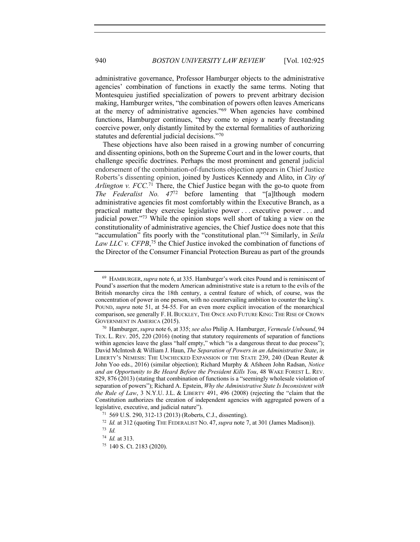administrative governance, Professor Hamburger objects to the administrative agencies' combination of functions in exactly the same terms. Noting that Montesquieu justified specialization of powers to prevent arbitrary decision making, Hamburger writes, "the combination of powers often leaves Americans at the mercy of administrative agencies."69 When agencies have combined functions, Hamburger continues, "they come to enjoy a nearly freestanding coercive power, only distantly limited by the external formalities of authorizing statutes and deferential judicial decisions."70

These objections have also been raised in a growing number of concurring and dissenting opinions, both on the Supreme Court and in the lower courts, that challenge specific doctrines. Perhaps the most prominent and general judicial endorsement of the combination-of-functions objection appears in Chief Justice Roberts's dissenting opinion, joined by Justices Kennedy and Alito, in *City of Arlington v. FCC.*<sup>71</sup> There, the Chief Justice began with the go-to quote from *The Federalist No. 47*<sup>72</sup> before lamenting that "[a]lthough modern administrative agencies fit most comfortably within the Executive Branch, as a practical matter they exercise legislative power . . . executive power . . . and judicial power."73 While the opinion stops well short of taking a view on the constitutionality of administrative agencies, the Chief Justice does note that this "accumulation" fits poorly with the "constitutional plan."74 Similarly, in *Seila*  Law LLC v. CFPB,<sup>75</sup> the Chief Justice invoked the combination of functions of the Director of the Consumer Financial Protection Bureau as part of the grounds

<sup>69</sup> HAMBURGER,*supra* note 6, at 335. Hamburger's work cites Pound and is reminiscent of Pound's assertion that the modern American administrative state is a return to the evils of the British monarchy circa the 18th century, a central feature of which, of course, was the concentration of power in one person, with no countervailing ambition to counter the king's. POUND, *supra* note 51, at 54-55. For an even more explicit invocation of the monarchical comparison, see generally F. H. BUCKLEY, THE ONCE AND FUTURE KING: THE RISE OF CROWN GOVERNMENT IN AMERICA (2015).

<sup>70</sup> Hamburger, *supra* note 6, at 335; *see also* Philip A. Hamburger, *Vermeule Unbound*, 94 TEX. L. REV. 205, 220 (2016) (noting that statutory requirements of separation of functions within agencies leave the glass "half empty," which "is a dangerous threat to due process"); David McIntosh & William J. Haun, *The Separation of Powers in an Administrative State*, *in* LIBERTY'S NEMESIS: THE UNCHECKED EXPANSION OF THE STATE 239, 240 (Dean Reuter & John Yoo eds., 2016) (similar objection); Richard Murphy & Afsheen John Radsan, *Notice and an Opportunity to Be Heard Before the President Kills You*, 48 WAKE FOREST L. REV. 829, 876 (2013) (stating that combination of functions is a "seemingly wholesale violation of separation of powers"); Richard A. Epstein, *Why the Administrative State Is Inconsistent with the Rule of Law*, 3 N.Y.U. J.L. & LIBERTY 491, 496 (2008) (rejecting the "claim that the Constitution authorizes the creation of independent agencies with aggregated powers of a legislative, executive, and judicial nature").

<sup>71</sup> 569 U.S. 290, 312-13 (2013) (Roberts, C.J., dissenting).

<sup>72</sup> *Id.* at 312 (quoting THE FEDERALIST NO. 47,*supra* note 7, at 301 (James Madison)).

<sup>73</sup> *Id.*

<sup>74</sup> *Id.* at 313.

<sup>75</sup> 140 S. Ct. 2183 (2020).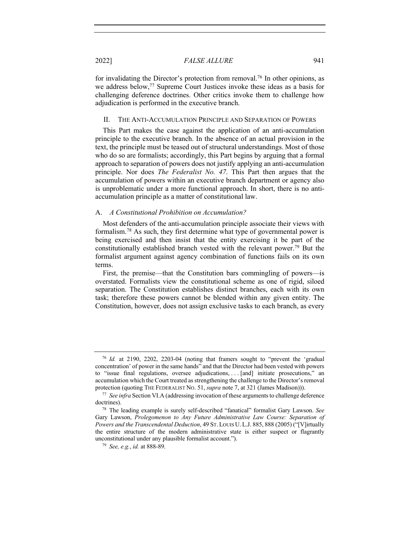for invalidating the Director's protection from removal.<sup>76</sup> In other opinions, as we address below,77 Supreme Court Justices invoke these ideas as a basis for challenging deference doctrines. Other critics invoke them to challenge how adjudication is performed in the executive branch.

#### II. THE ANTI-ACCUMULATION PRINCIPLE AND SEPARATION OF POWERS

This Part makes the case against the application of an anti-accumulation principle to the executive branch. In the absence of an actual provision in the text, the principle must be teased out of structural understandings. Most of those who do so are formalists; accordingly, this Part begins by arguing that a formal approach to separation of powers does not justify applying an anti-accumulation principle. Nor does *The Federalist No. 47*. This Part then argues that the accumulation of powers within an executive branch department or agency also is unproblematic under a more functional approach. In short, there is no antiaccumulation principle as a matter of constitutional law.

#### A. *A Constitutional Prohibition on Accumulation?*

Most defenders of the anti-accumulation principle associate their views with formalism.78 As such, they first determine what type of governmental power is being exercised and then insist that the entity exercising it be part of the constitutionally established branch vested with the relevant power.79 But the formalist argument against agency combination of functions fails on its own terms.

First, the premise—that the Constitution bars commingling of powers—is overstated. Formalists view the constitutional scheme as one of rigid, siloed separation. The Constitution establishes distinct branches, each with its own task; therefore these powers cannot be blended within any given entity. The Constitution, however, does not assign exclusive tasks to each branch, as every

<sup>76</sup> *Id.* at 2190, 2202, 2203-04 (noting that framers sought to "prevent the 'gradual concentration' of power in the same hands" and that the Director had been vested with powers to "issue final regulations, oversee adjudications, . . . [and] initiate prosecutions," an accumulation which the Court treated as strengthening the challenge to the Director's removal protection (quoting THE FEDERALIST NO. 51, *supra* note 7, at 321 (James Madison))).

<sup>77</sup> *See infra* Section VI.A (addressing invocation of these arguments to challenge deference doctrines).

<sup>78</sup> The leading example is surely self-described "fanatical" formalist Gary Lawson. *See*  Gary Lawson, *Prolegomenon to Any Future Administrative Law Course: Separation of Powers and the Transcendental Deduction*, 49 ST. LOUIS U. L.J. 885, 888 (2005) ("[V]irtually the entire structure of the modern administrative state is either suspect or flagrantly unconstitutional under any plausible formalist account.").

<sup>79</sup> *See, e.g.*, *id.* at 888-89.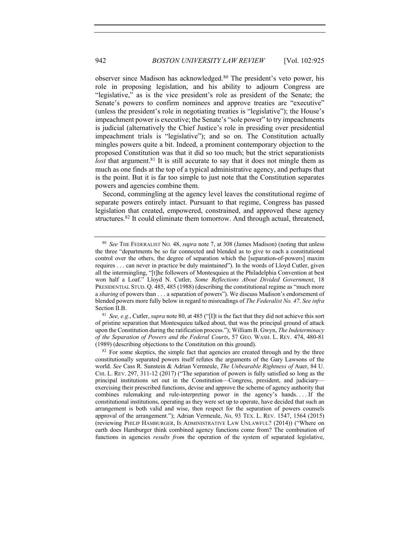observer since Madison has acknowledged.80 The president's veto power, his role in proposing legislation, and his ability to adjourn Congress are "legislative," as is the vice president's role as president of the Senate; the Senate's powers to confirm nominees and approve treaties are "executive" (unless the president's role in negotiating treaties is "legislative"); the House's impeachment power is executive; the Senate's "sole power" to try impeachments is judicial (alternatively the Chief Justice's role in presiding over presidential impeachment trials is "legislative"); and so on. The Constitution actually mingles powers quite a bit. Indeed, a prominent contemporary objection to the proposed Constitution was that it did so too much; but the strict separationists *lost* that argument.<sup>81</sup> It is still accurate to say that it does not mingle them as much as one finds at the top of a typical administrative agency, and perhaps that is the point. But it is far too simple to just note that the Constitution separates powers and agencies combine them.

Second, commingling at the agency level leaves the constitutional regime of separate powers entirely intact. Pursuant to that regime, Congress has passed legislation that created, empowered, constrained, and approved these agency structures.<sup>82</sup> It could eliminate them tomorrow. And through actual, threatened,

<sup>81</sup> *See, e.g.*, Cutler, *supra* note 80, at 485 ("[I]t is the fact that they did not achieve this sort of pristine separation that Montesquieu talked about, that was the principal ground of attack upon the Constitution during the ratification process."); William B. Gwyn, *The Indeterminacy of the Separation of Powers and the Federal Courts*, 57 GEO. WASH. L. REV. 474, 480-81 (1989) (describing objections to the Constitution on this ground).

<sup>82</sup> For some skeptics, the simple fact that agencies are created through and by the three constitutionally separated powers itself refutes the arguments of the Gary Lawsons of the world. *See* Cass R. Sunstein & Adrian Vermeule, *The Unbearable Rightness of* Auer, 84 U. CHI. L. REV. 297, 311-12 (2017) ("The separation of powers is fully satisfied so long as the principal institutions set out in the Constitution—Congress, president, and judiciary exercising their prescribed functions, devise and approve the scheme of agency authority that combines rulemaking and rule-interpreting power in the agency's hands. . . . If the constitutional institutions, operating as they were set up to operate, have decided that such an arrangement is both valid and wise, then respect for the separation of powers counsels approval of the arrangement."); Adrian Vermeule, *No*, 93 TEX. L. REV. 1547, 1564 (2015) (reviewing PHILIP HAMBURGER, IS ADMINISTRATIVE LAW UNLAWFUL? (2014)) ("Where on earth does Hamburger think combined agency functions come from? The combination of functions in agencies *results from* the operation of the system of separated legislative,

<sup>80</sup> *See* THE FEDERALIST NO. 48, *supra* note 7, at 308 (James Madison) (noting that unless the three "departments be so far connected and blended as to give to each a constitutional control over the others, the degree of separation which the [separation-of-powers] maxim requires . . . can never in practice be duly maintained"). In the words of Lloyd Cutler, given all the intermingling, "[t]he followers of Montesquieu at the Philadelphia Convention at best won half a Loaf." Lloyd N. Cutler, *Some Reflections About Divided Government*, 18 PRESIDENTIAL STUD. Q. 485, 485 (1988) (describing the constitutional regime as "much more a *sharing* of powers than . . . a separation of powers"). We discuss Madison's endorsement of blended powers more fully below in regard to misreadings of *The Federalist No. 47*. *See infra*  Section II.B.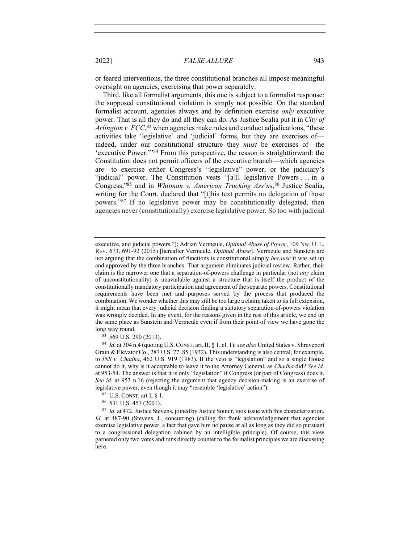or feared interventions, the three constitutional branches all impose meaningful oversight on agencies, exercising that power separately.

Third, like all formalist arguments, this one is subject to a formalist response: the supposed constitutional violation is simply not possible. On the standard formalist account, agencies always and by definition exercise *only* executive power. That is all they do and all they can do. As Justice Scalia put it in *City of Arlington v. FCC*, <sup>83</sup> when agencies make rules and conduct adjudications, "these activities take 'legislative' and 'judicial' forms, but they are exercises of indeed, under our constitutional structure they *must* be exercises of—the 'executive Power.'"84 From this perspective, the reason is straightforward: the Constitution does not permit officers of the executive branch—which agencies are—to exercise either Congress's "legislative" power, or the judiciary's "judicial" power. The Constitution vests "[a]ll legislative Powers . . . in a Congress,"85 and in *Whitman v. American Trucking Ass'ns*, <sup>86</sup> Justice Scalia, writing for the Court, declared that "[t]his text permits no delegation of those powers."87 If no legislative power may be constitutionally delegated, then agencies never (constitutionally) exercise legislative power. So too with judicial

executive, and judicial powers."); Adrian Vermeule, *Optimal Abuse of Power*, 109 NW. U. L. REV. 673, 691-92 (2015) [hereafter Vermeule, *Optimal Abuse*]. Vermeule and Sunstein are not arguing that the combination of functions is constitutional simply *because* it was set up and approved by the three branches. That argument eliminates judicial review. Rather, their claim is the narrower one that a separation-of-powers challenge in particular (not *any* claim of unconstitutionality) is unavailable against a structure that is itself the product of the constitutionally mandatory participation and agreement of the separate powers. Constitutional requirements have been met and purposes served by the process that produced the combination. We wonder whether this may still be too large a claim; taken to its full extension, it might mean that every judicial decision finding a statutory separation-of-powers violation was wrongly decided. In any event, for the reasons given in the rest of this article, we end up the same place as Sunstein and Vermeule even if from their point of view we have gone the long way round.

<sup>83</sup> 569 U.S. 290 (2013).

<sup>84</sup> *Id.* at 304 n.4 (quoting U.S.CONST. art. II, § 1, cl. 1); *see also* United States v. Shreveport Grain & Elevator Co., 287 U.S. 77, 85 (1932). This understanding is also central, for example, to *INS v. Chadha*, 462 U.S. 919 (1983). If the veto is "legislation" and so a single House cannot do it, why is it acceptable to leave it to the Attorney General, as *Chadha* did? *See id.* at 953-54. The answer is that it is only "legislation" if Congress (or part of Congress) does it. *See id.* at 953 n.16 (rejecting the argument that agency decision-making is an exercise of legislative power, even though it may "resemble 'legislative' action").

<sup>85</sup> U.S. CONST. art I, § 1.

<sup>86</sup> 531 U.S. 457 (2001).

<sup>&</sup>lt;sup>87</sup> *Id.* at 472. Justice Stevens, joined by Justice Souter, took issue with this characterization. Id. at 487-90 (Stevens, J., concurring) (calling for frank acknowledgement that agencies exercise legislative power, a fact that gave him no pause at all as long as they did so pursuant to a congressional delegation cabined by an intelligible principle). Of course, this view garnered only two votes and runs directly counter to the formalist principles we are discussing here.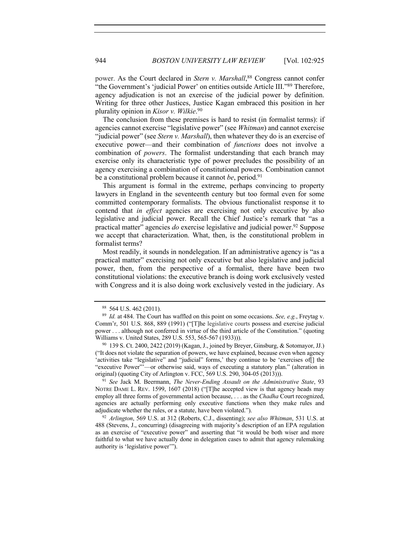power. As the Court declared in *Stern v. Marshall*,<sup>88</sup> Congress cannot confer "the Government's 'judicial Power' on entities outside Article III."89 Therefore, agency adjudication is not an exercise of the judicial power by definition. Writing for three other Justices, Justice Kagan embraced this position in her plurality opinion in *Kisor v. Wilkie*. 90

The conclusion from these premises is hard to resist (in formalist terms): if agencies cannot exercise "legislative power" (see *Whitman*) and cannot exercise "judicial power" (see *Stern v. Marshall*), then whatever they do is an exercise of executive power—and their combination of *functions* does not involve a combination of *powers*. The formalist understanding that each branch may exercise only its characteristic type of power precludes the possibility of an agency exercising a combination of constitutional powers. Combination cannot be a constitutional problem because it cannot *be*, period.<sup>91</sup>

This argument is formal in the extreme, perhaps convincing to property lawyers in England in the seventeenth century but too formal even for some committed contemporary formalists. The obvious functionalist response it to contend that *in effect* agencies are exercising not only executive by also legislative and judicial power. Recall the Chief Justice's remark that "as a practical matter" agencies *do* exercise legislative and judicial power.92 Suppose we accept that characterization. What, then, is the constitutional problem in formalist terms?

Most readily, it sounds in nondelegation. If an administrative agency is "as a practical matter" exercising not only executive but also legislative and judicial power, then, from the perspective of a formalist, there have been two constitutional violations: the executive branch is doing work exclusively vested with Congress and it is also doing work exclusively vested in the judiciary. As

<sup>91</sup> *See* Jack M. Beermann, *The Never-Ending Assault on the Administrative State*, 93 NOTRE DAME L. REV. 1599, 1607 (2018) ("[T]he accepted view is that agency heads may employ all three forms of governmental action because, . . . as the *Chadha* Court recognized, agencies are actually performing only executive functions when they make rules and adjudicate whether the rules, or a statute, have been violated.").

<sup>88</sup> 564 U.S. 462 (2011).

<sup>89</sup> *Id.* at 484. The Court has waffled on this point on some occasions. *See, e.g.*, Freytag v. Comm'r, 501 U.S. 868, 889 (1991) ("[T]he legislative courts possess and exercise judicial power . . . although not conferred in virtue of the third article of the Constitution." (quoting Williams v. United States, 289 U.S. 553, 565-567 (1933))).

<sup>90</sup> 139 S. Ct. 2400, 2422 (2019) (Kagan, J., joined by Breyer, Ginsburg, & Sotomayor, JJ.) ("It does not violate the separation of powers, we have explained, because even when agency 'activities take "legislative" and "judicial" forms,' they continue to be 'exercises of[] the "executive Power"'—or otherwise said, ways of executing a statutory plan." (alteration in original) (quoting City of Arlington v. FCC, 569 U.S. 290, 304-05 (2013))).

<sup>92</sup> *Arlington*, 569 U.S. at 312 (Roberts, C.J., dissenting); *see also Whitman*, 531 U.S. at 488 (Stevens, J., concurring) (disagreeing with majority's description of an EPA regulation as an exercise of "executive power" and asserting that "it would be both wiser and more faithful to what we have actually done in delegation cases to admit that agency rulemaking authority is 'legislative power'").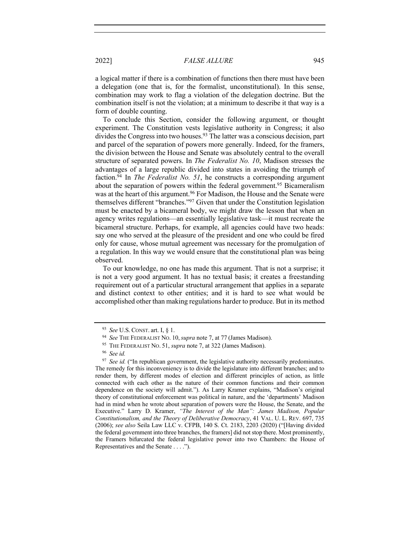a logical matter if there is a combination of functions then there must have been a delegation (one that is, for the formalist, unconstitutional). In this sense, combination may work to flag a violation of the delegation doctrine. But the combination itself is not the violation; at a minimum to describe it that way is a form of double counting.

To conclude this Section, consider the following argument, or thought experiment. The Constitution vests legislative authority in Congress; it also divides the Congress into two houses.<sup>93</sup> The latter was a conscious decision, part and parcel of the separation of powers more generally. Indeed, for the framers, the division between the House and Senate was absolutely central to the overall structure of separated powers. In *The Federalist No. 10*, Madison stresses the advantages of a large republic divided into states in avoiding the triumph of faction.94 In *The Federalist No. 51*, he constructs a corresponding argument about the separation of powers within the federal government.<sup>95</sup> Bicameralism was at the heart of this argument.<sup>96</sup> For Madison, the House and the Senate were themselves different "branches."97 Given that under the Constitution legislation must be enacted by a bicameral body, we might draw the lesson that when an agency writes regulations—an essentially legislative task—it must recreate the bicameral structure. Perhaps, for example, all agencies could have two heads: say one who served at the pleasure of the president and one who could be fired only for cause, whose mutual agreement was necessary for the promulgation of a regulation. In this way we would ensure that the constitutional plan was being observed.

To our knowledge, no one has made this argument. That is not a surprise; it is not a very good argument. It has no textual basis; it creates a freestanding requirement out of a particular structural arrangement that applies in a separate and distinct context to other entities; and it is hard to see what would be accomplished other than making regulations harder to produce. But in its method

<sup>93</sup> *See* U.S. CONST. art. I, § 1.

<sup>94</sup> *See* THE FEDERALIST NO. 10,*supra* note 7, at 77 (James Madison).

<sup>95</sup> THE FEDERALIST NO. 51, *supra* note 7, at 322 (James Madison).

<sup>96</sup> *See id.*

<sup>&</sup>lt;sup>97</sup> *See id.* ("In republican government, the legislative authority necessarily predominates. The remedy for this inconveniency is to divide the legislature into different branches; and to render them, by different modes of election and different principles of action, as little connected with each other as the nature of their common functions and their common dependence on the society will admit."). As Larry Kramer explains, "Madison's original theory of constitutional enforcement was political in nature, and the 'departments' Madison had in mind when he wrote about separation of powers were the House, the Senate, and the Executive." Larry D. Kramer, *"The Interest of the Man": James Madison, Popular Constitutionalism, and the Theory of Deliberative Democracy*, 41 VAL. U. L. REV. 697, 735 (2006); *see also* Seila Law LLC v. CFPB, 140 S. Ct. 2183, 2203 (2020) ("[Having divided the federal government into three branches, the framers] did not stop there. Most prominently, the Framers bifurcated the federal legislative power into two Chambers: the House of Representatives and the Senate . . . .").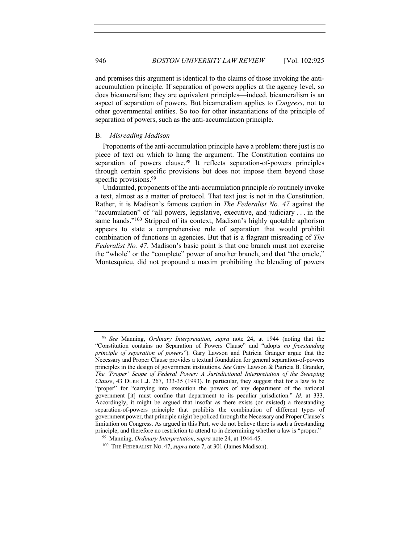and premises this argument is identical to the claims of those invoking the antiaccumulation principle. If separation of powers applies at the agency level, so does bicameralism; they are equivalent principles—indeed, bicameralism is an aspect of separation of powers. But bicameralism applies to *Congress*, not to other governmental entities. So too for other instantiations of the principle of separation of powers, such as the anti-accumulation principle.

#### B. *Misreading Madison*

Proponents of the anti-accumulation principle have a problem: there just is no piece of text on which to hang the argument. The Constitution contains no separation of powers clause.<sup>98</sup> It reflects separation-of-powers principles through certain specific provisions but does not impose them beyond those specific provisions.<sup>99</sup>

Undaunted, proponents of the anti-accumulation principle *do* routinely invoke a text, almost as a matter of protocol. That text just is not in the Constitution. Rather, it is Madison's famous caution in *The Federalist No. 47* against the "accumulation" of "all powers, legislative, executive, and judiciary . . . in the same hands."<sup>100</sup> Stripped of its context, Madison's highly quotable aphorism appears to state a comprehensive rule of separation that would prohibit combination of functions in agencies. But that is a flagrant misreading of *The Federalist No. 47*. Madison's basic point is that one branch must not exercise the "whole" or the "complete" power of another branch, and that "the oracle," Montesquieu, did not propound a maxim prohibiting the blending of powers

<sup>98</sup> *See* Manning, *Ordinary Interpretation*, *supra* note 24, at 1944 (noting that the "Constitution contains no Separation of Powers Clause" and "adopts *no freestanding principle of separation of powers*"). Gary Lawson and Patricia Granger argue that the Necessary and Proper Clause provides a textual foundation for general separation-of-powers principles in the design of government institutions. *See* Gary Lawson & Patricia B. Grander, *The 'Proper' Scope of Federal Power: A Jurisdictional Interpretation of the Sweeping Clause*, 43 DUKE L.J. 267, 333-35 (1993). In particular, they suggest that for a law to be "proper" for "carrying into execution the powers of any department of the national government [it] must confine that department to its peculiar jurisdiction." *Id.* at 333. Accordingly, it might be argued that insofar as there exists (or existed) a freestanding separation-of-powers principle that prohibits the combination of different types of government power, that principle might be policed through the Necessary and Proper Clause's limitation on Congress. As argued in this Part, we do not believe there is such a freestanding principle, and therefore no restriction to attend to in determining whether a law is "proper."

<sup>99</sup> Manning, *Ordinary Interpretation*, *supra* note 24, at 1944-45.

<sup>100</sup> THE FEDERALIST NO. 47, *supra* note 7, at 301 (James Madison).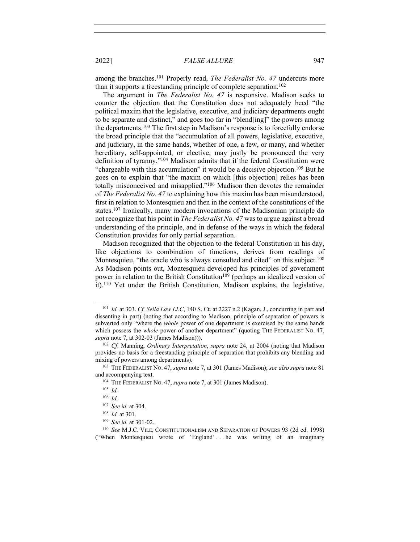among the branches.101 Properly read, *The Federalist No. 47* undercuts more than it supports a freestanding principle of complete separation.<sup>102</sup>

The argument in *The Federalist No. 47* is responsive. Madison seeks to counter the objection that the Constitution does not adequately heed "the political maxim that the legislative, executive, and judiciary departments ought to be separate and distinct," and goes too far in "blend[ing]" the powers among the departments.103 The first step in Madison's response is to forcefully endorse the broad principle that the "accumulation of all powers, legislative, executive, and judiciary, in the same hands, whether of one, a few, or many, and whether hereditary, self-appointed, or elective, may justly be pronounced the very definition of tyranny."104 Madison admits that if the federal Constitution were "chargeable with this accumulation" it would be a decisive objection.105 But he goes on to explain that "the maxim on which [this objection] relies has been totally misconceived and misapplied."106 Madison then devotes the remainder of *The Federalist No. 47* to explaining how this maxim has been misunderstood, first in relation to Montesquieu and then in the context of the constitutions of the states.107 Ironically, many modern invocations of the Madisonian principle do not recognize that his point in *The Federalist No. 47* was to argue against a broad understanding of the principle, and in defense of the ways in which the federal Constitution provides for only partial separation.

Madison recognized that the objection to the federal Constitution in his day, like objections to combination of functions, derives from readings of Montesquieu, "the oracle who is always consulted and cited" on this subject.<sup>108</sup> As Madison points out, Montesquieu developed his principles of government power in relation to the British Constitution<sup>109</sup> (perhaps an idealized version of it).110 Yet under the British Constitution, Madison explains, the legislative,

<sup>101</sup> *Id.* at 303. *Cf. Seila Law LLC*, 140 S. Ct. at 2227 n.2 (Kagan, J., concurring in part and dissenting in part) (noting that according to Madison, principle of separation of powers is subverted only "where the *whole* power of one department is exercised by the same hands which possess the *whole* power of another department" (quoting THE FEDERALIST No. 47, *supra* note 7, at 302-03 (James Madison))).

<sup>102</sup> *Cf*. Manning, *Ordinary Interpretation*, *supra* note 24, at 2004 (noting that Madison provides no basis for a freestanding principle of separation that prohibits any blending and mixing of powers among departments).

<sup>103</sup> THE FEDERALIST NO. 47, *supra* note 7, at 301 (James Madison); *see also supra* note 81 and accompanying text.

<sup>104</sup> THE FEDERALIST NO. 47, *supra* note 7, at 301 (James Madison).

<sup>105</sup> *Id.*

<sup>106</sup> *Id.*

<sup>107</sup> *See id.* at 304.

<sup>108</sup> *Id.* at 301.

<sup>109</sup> *See id.* at 301-02.

<sup>110</sup> *See* M.J.C. VILE, CONSTITUTIONALISM AND SEPARATION OF POWERS 93 (2d ed. 1998) ("When Montesquieu wrote of 'England' . . . he was writing of an imaginary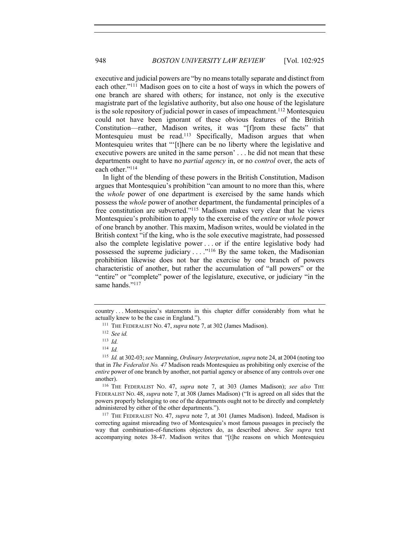executive and judicial powers are "by no means totally separate and distinct from each other."111 Madison goes on to cite a host of ways in which the powers of one branch are shared with others; for instance, not only is the executive magistrate part of the legislative authority, but also one house of the legislature is the sole repository of judicial power in cases of impeachment.112 Montesquieu could not have been ignorant of these obvious features of the British Constitution—rather, Madison writes, it was "[f]rom these facts" that Montesquieu must be read.<sup>113</sup> Specifically, Madison argues that when Montesquieu writes that "'[t]here can be no liberty where the legislative and executive powers are united in the same person' . . . he did not mean that these departments ought to have no *partial agency* in, or no *control* over, the acts of each other."<sup>114</sup>

In light of the blending of these powers in the British Constitution, Madison argues that Montesquieu's prohibition "can amount to no more than this, where the *whole* power of one department is exercised by the same hands which possess the *whole* power of another department, the fundamental principles of a free constitution are subverted."115 Madison makes very clear that he views Montesquieu's prohibition to apply to the exercise of the *entire* or *whole* power of one branch by another. This maxim, Madison writes, would be violated in the British context "if the king, who is the sole executive magistrate, had possessed also the complete legislative power . . . or if the entire legislative body had possessed the supreme judiciary  $\dots$ <sup>116</sup> By the same token, the Madisonian prohibition likewise does not bar the exercise by one branch of powers characteristic of another, but rather the accumulation of "all powers" or the "entire" or "complete" power of the legislature, executive, or judiciary "in the same hands."<sup>117</sup>

<sup>117</sup> THE FEDERALIST NO. 47, *supra* note 7, at 301 (James Madison). Indeed, Madison is correcting against misreading two of Montesquieu's most famous passages in precisely the way that combination-of-functions objectors do, as described above. *See supra* text accompanying notes 38-47. Madison writes that "[t]he reasons on which Montesquieu

country . . . Montesquieu's statements in this chapter differ considerably from what he actually knew to be the case in England.").

<sup>111</sup> THE FEDERALIST NO. 47, *supra* note 7, at 302 (James Madison).

<sup>112</sup> *See id.*

<sup>113</sup> *Id.*

<sup>114</sup> *Id.*

<sup>115</sup> *Id.* at 302-03; *see* Manning, *Ordinary Interpretation*, *supra* note 24, at 2004 (noting too that in *The Federalist No. 47* Madison reads Montesquieu as prohibiting only exercise of the *entire* power of one branch by another, not partial agency or absence of any controls over one another).

<sup>116</sup> THE FEDERALIST NO. 47, *supra* note 7, at 303 (James Madison); *see also* THE FEDERALIST NO. 48, *supra* note 7, at 308 (James Madison) ("It is agreed on all sides that the powers properly belonging to one of the departments ought not to be directly and completely administered by either of the other departments.").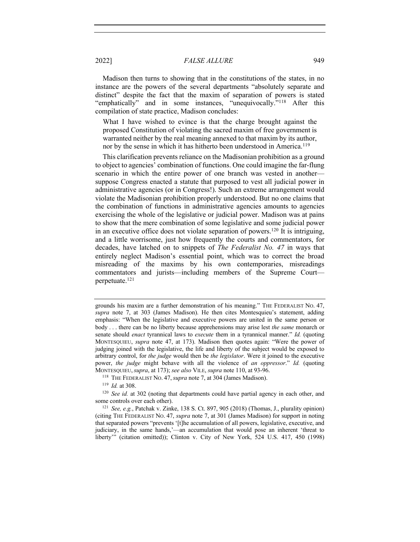Madison then turns to showing that in the constitutions of the states, in no instance are the powers of the several departments "absolutely separate and distinct" despite the fact that the maxim of separation of powers is stated "emphatically" and in some instances, "unequivocally."118 After this compilation of state practice, Madison concludes:

What I have wished to evince is that the charge brought against the proposed Constitution of violating the sacred maxim of free government is warranted neither by the real meaning annexed to that maxim by its author, nor by the sense in which it has hitherto been understood in America.<sup>119</sup>

This clarification prevents reliance on the Madisonian prohibition as a ground to object to agencies' combination of functions. One could imagine the far-flung scenario in which the entire power of one branch was vested in another suppose Congress enacted a statute that purposed to vest all judicial power in administrative agencies (or in Congress!). Such an extreme arrangement would violate the Madisonian prohibition properly understood. But no one claims that the combination of functions in administrative agencies amounts to agencies exercising the whole of the legislative or judicial power. Madison was at pains to show that the mere combination of some legislative and some judicial power in an executive office does not violate separation of powers. <sup>120</sup> It is intriguing, and a little worrisome, just how frequently the courts and commentators, for decades, have latched on to snippets of *The Federalist No. 47* in ways that entirely neglect Madison's essential point, which was to correct the broad misreading of the maxims by his own contemporaries, misreadings commentators and jurists—including members of the Supreme Court perpetuate.121

<sup>119</sup> *Id.* at 308.

grounds his maxim are a further demonstration of his meaning." THE FEDERALIST NO. 47, *supra* note 7, at 303 (James Madison). He then cites Montesquieu's statement, adding emphasis: "When the legislative and executive powers are united in the same person or body . . . there can be no liberty because apprehensions may arise lest *the same* monarch or senate should *enact* tyrannical laws to *execute* them in a tyrannical manner." *Id.* (quoting MONTESQUIEU, *supra* note 47, at 173). Madison then quotes again: "Were the power of judging joined with the legislative, the life and liberty of the subject would be exposed to arbitrary control, for *the judge* would then be *the legislator*. Were it joined to the executive power, *the judge* might behave with all the violence of *an oppressor*." *Id.* (quoting MONTESQUIEU,*supra*, at 173); *see also* VILE, *supra* note 110, at 93-96.

<sup>118</sup> THE FEDERALIST NO. 47,*supra* note 7, at 304 (James Madison).

<sup>120</sup> *See id.* at 302 (noting that departments could have partial agency in each other, and some controls over each other).

<sup>121</sup> *See, e.g.*, Patchak v. Zinke, 138 S. Ct. 897, 905 (2018) (Thomas, J., plurality opinion) (citing THE FEDERALIST NO. 47, *supra* note 7, at 301 (James Madison) for support in noting that separated powers "prevents '[t]he accumulation of all powers, legislative, executive, and judiciary, in the same hands,'—an accumulation that would pose an inherent 'threat to liberty'" (citation omitted)); Clinton v. City of New York, 524 U.S. 417, 450 (1998)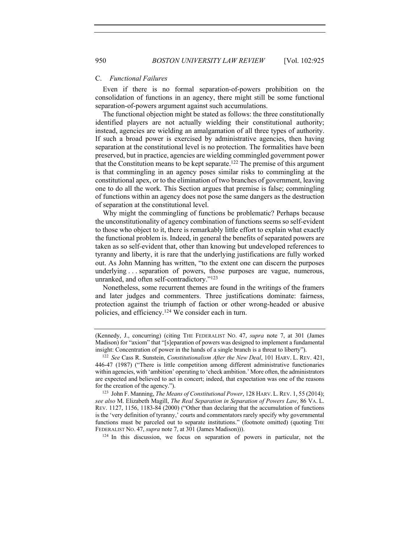#### C. *Functional Failures*

Even if there is no formal separation-of-powers prohibition on the consolidation of functions in an agency, there might still be some functional separation-of-powers argument against such accumulations.

The functional objection might be stated as follows: the three constitutionally identified players are not actually wielding their constitutional authority; instead, agencies are wielding an amalgamation of all three types of authority. If such a broad power is exercised by administrative agencies, then having separation at the constitutional level is no protection. The formalities have been preserved, but in practice, agencies are wielding commingled government power that the Constitution means to be kept separate.122 The premise of this argument is that commingling in an agency poses similar risks to commingling at the constitutional apex, or to the elimination of two branches of government, leaving one to do all the work. This Section argues that premise is false; commingling of functions within an agency does not pose the same dangers as the destruction of separation at the constitutional level.

Why might the commingling of functions be problematic? Perhaps because the unconstitutionality of agency combination of functions seems so self-evident to those who object to it, there is remarkably little effort to explain what exactly the functional problem is. Indeed, in general the benefits of separated powers are taken as so self-evident that, other than knowing but undeveloped references to tyranny and liberty, it is rare that the underlying justifications are fully worked out. As John Manning has written, "to the extent one can discern the purposes underlying . . . separation of powers, those purposes are vague, numerous, unranked, and often self-contradictory."123

Nonetheless, some recurrent themes are found in the writings of the framers and later judges and commenters. Three justifications dominate: fairness, protection against the triumph of faction or other wrong-headed or abusive policies, and efficiency.124 We consider each in turn.

<sup>124</sup> In this discussion, we focus on separation of powers in particular, not the

<sup>(</sup>Kennedy, J., concurring) (citing THE FEDERALIST NO. 47, *supra* note 7, at 301 (James Madison) for "axiom" that "[s]eparation of powers was designed to implement a fundamental insight: Concentration of power in the hands of a single branch is a threat to liberty").

<sup>122</sup> *See* Cass R. Sunstein, *Constitutionalism After the New Deal*, 101 HARV. L. REV. 421, 446-47 (1987) ("There is little competition among different administrative functionaries within agencies, with 'ambition' operating to 'check ambition.' More often, the administrators are expected and believed to act in concert; indeed, that expectation was one of the reasons for the creation of the agency.").

<sup>123</sup> John F. Manning, *The Means of Constitutional Power*, 128 HARV. L.REV. 1, 55 (2014); *see also* M. Elizabeth Magill, *The Real Separation in Separation of Powers Law*, 86 VA. L. REV. 1127, 1156, 1183-84 (2000) ("Other than declaring that the accumulation of functions is the 'very definition of tyranny,' courts and commentators rarely specify why governmental functions must be parceled out to separate institutions." (footnote omitted) (quoting THE FEDERALIST NO. 47, *supra* note 7, at 301 (James Madison))).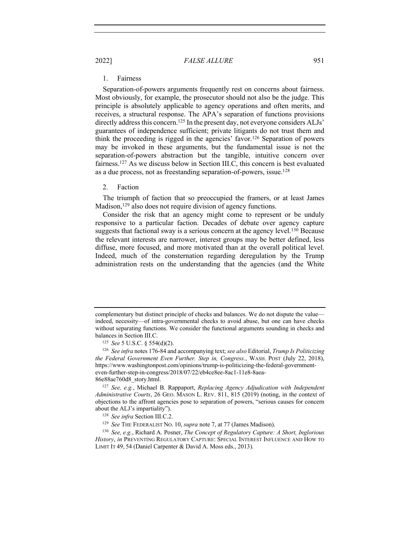# 1. Fairness

Separation-of-powers arguments frequently rest on concerns about fairness. Most obviously, for example, the prosecutor should not also be the judge. This principle is absolutely applicable to agency operations and often merits, and receives, a structural response. The APA's separation of functions provisions directly address this concern.<sup>125</sup> In the present day, not everyone considers ALJs' guarantees of independence sufficient; private litigants do not trust them and think the proceeding is rigged in the agencies' favor.126 Separation of powers may be invoked in these arguments, but the fundamental issue is not the separation-of-powers abstraction but the tangible, intuitive concern over fairness.127 As we discuss below in Section III.C, this concern is best evaluated as a due process, not as freestanding separation-of-powers, issue.128

#### 2. Faction

The triumph of faction that so preoccupied the framers, or at least James Madison,<sup>129</sup> also does not require division of agency functions.

Consider the risk that an agency might come to represent or be unduly responsive to a particular faction. Decades of debate over agency capture suggests that factional sway is a serious concern at the agency level.<sup>130</sup> Because the relevant interests are narrower, interest groups may be better defined, less diffuse, more focused, and more motivated than at the overall political level. Indeed, much of the consternation regarding deregulation by the Trump administration rests on the understanding that the agencies (and the White

complementary but distinct principle of checks and balances. We do not dispute the value indeed, necessity—of intra-governmental checks to avoid abuse, but one can have checks without separating functions. We consider the functional arguments sounding in checks and balances in Section III.C.

<sup>125</sup> *See* 5 U.S.C. § 554(d)(2).

<sup>126</sup> *See infra* notes 176-84 and accompanying text; *see also* Editorial, *Trump Is Politicizing the Federal Government Even Further. Step in, Congress.*, WASH. POST (July 22, 2018), https://www.washingtonpost.com/opinions/trump-is-politicizing-the-federal-governmenteven-further-step-in-congress/2018/07/22/eb4ce8ee-8ac1-11e8-8aea-86e88ae760d8\_story.html.

<sup>127</sup> *See, e.g.*, Michael B. Rappaport, *Replacing Agency Adjudication with Independent Administrative Courts*, 26 GEO. MASON L. REV. 811, 815 (2019) (noting, in the context of objections to the affront agencies pose to separation of powers, "serious causes for concern about the ALJ's impartiality").

<sup>128</sup> *See infra* Section III.C.2.

<sup>129</sup> *See* THE FEDERALIST NO. 10, *supra* note 7, at 77 (James Madison).

<sup>130</sup> *See, e.g.*, Richard A. Posner, *The Concept of Regulatory Capture: A Short, Inglorious History*, *in* PREVENTING REGULATORY CAPTURE: SPECIAL INTEREST INFLUENCE AND HOW TO LIMIT IT 49, 54 (Daniel Carpenter & David A. Moss eds., 2013).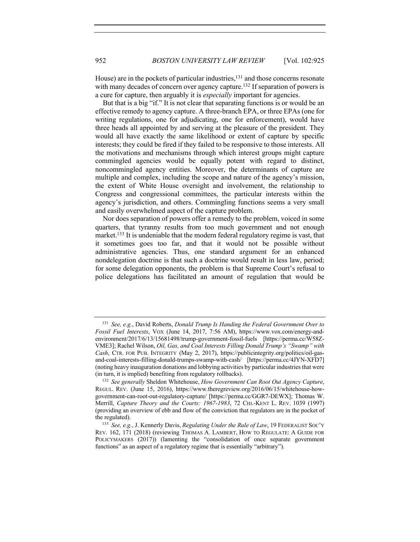House) are in the pockets of particular industries,<sup>131</sup> and those concerns resonate with many decades of concern over agency capture.<sup>132</sup> If separation of powers is a cure for capture, then arguably it is *especially* important for agencies.

But that is a big "if." It is not clear that separating functions is or would be an effective remedy to agency capture. A three-branch EPA, or three EPAs (one for writing regulations, one for adjudicating, one for enforcement), would have three heads all appointed by and serving at the pleasure of the president. They would all have exactly the same likelihood or extent of capture by specific interests; they could be fired if they failed to be responsive to those interests. All the motivations and mechanisms through which interest groups might capture commingled agencies would be equally potent with regard to distinct, noncommingled agency entities. Moreover, the determinants of capture are multiple and complex, including the scope and nature of the agency's mission, the extent of White House oversight and involvement, the relationship to Congress and congressional committees, the particular interests within the agency's jurisdiction, and others. Commingling functions seems a very small and easily overwhelmed aspect of the capture problem.

Nor does separation of powers offer a remedy to the problem, voiced in some quarters, that tyranny results from too much government and not enough market.<sup>133</sup> It is undeniable that the modern federal regulatory regime is vast, that it sometimes goes too far, and that it would not be possible without administrative agencies. Thus, one standard argument for an enhanced nondelegation doctrine is that such a doctrine would result in less law, period; for some delegation opponents, the problem is that Supreme Court's refusal to police delegations has facilitated an amount of regulation that would be

<sup>131</sup> *See, e.g.*, David Roberts, *Donald Trump Is Handing the Federal Government Over to Fossil Fuel Interests*, VOX (June 14, 2017, 7:56 AM), https://www.vox.com/energy-andenvironment/2017/6/13/15681498/trump-government-fossil-fuels [https://perma.cc/W58Z-VME3]; Rachel Wilson, *Oil, Gas, and Coal Interests Filling Donald Trump's "Swamp" with Cash*, CTR. FOR PUB. INTEGRITY (May 2, 2017), https://publicintegrity.org/politics/oil-gasand-coal-interests-filling-donald-trumps-swamp-with-cash/ [https://perma.cc/4JYN-XFD7] (noting heavy inauguration donations and lobbying activities by particular industries that were (in turn, it is implied) benefiting from regulatory rollbacks).

<sup>132</sup> *See generally* Sheldon Whitehouse, *How Government Can Root Out Agency Capture*, REGUL. REV. (June 15, 2016), https://www.theregreview.org/2016/06/15/whitehouse-howgovernment-can-root-out-regulatory-capture/ [https://perma.cc/GGR7-DEWX]; Thomas W. Merrill, *Capture Theory and the Courts: 1967-1983*, 72 CHI.-KENT L. REV. 1039 (1997) (providing an overview of ebb and flow of the conviction that regulators are in the pocket of the regulated).

<sup>133</sup> *See, e.g.*, J. Kennerly Davis, *Regulating Under the Rule of Law*, 19 FEDERALIST SOC'Y REV. 162, 171 (2018) (reviewing THOMAS A. LAMBERT, HOW TO REGULATE: A GUIDE FOR POLICYMAKERS (2017)) (lamenting the "consolidation of once separate government functions" as an aspect of a regulatory regime that is essentially "arbitrary").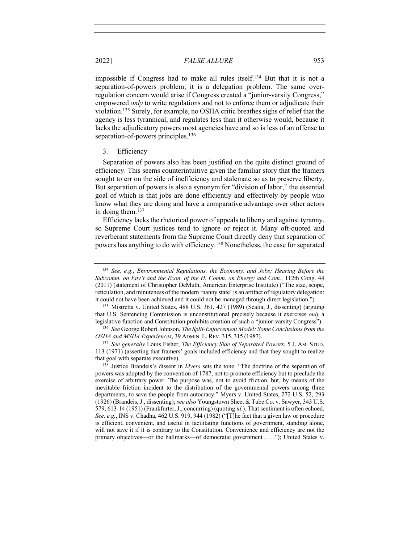impossible if Congress had to make all rules itself.134 But that it is not a separation-of-powers problem; it is a delegation problem. The same overregulation concern would arise if Congress created a "junior-varsity Congress," empowered *only* to write regulations and not to enforce them or adjudicate their violation.135 Surely, for example, no OSHA critic breathes sighs of relief that the agency is less tyrannical, and regulates less than it otherwise would, because it lacks the adjudicatory powers most agencies have and so is less of an offense to separation-of-powers principles.<sup>136</sup>

### 3. Efficiency

Separation of powers also has been justified on the quite distinct ground of efficiency. This seems counterintuitive given the familiar story that the framers sought to err on the side of inefficiency and stalemate so as to preserve liberty. But separation of powers is also a synonym for "division of labor," the essential goal of which is that jobs are done efficiently and effectively by people who know what they are doing and have a comparative advantage over other actors in doing them.137

Efficiency lacks the rhetorical power of appeals to liberty and against tyranny, so Supreme Court justices tend to ignore or reject it. Many oft-quoted and reverberant statements from the Supreme Court directly deny that separation of powers has anything to do with efficiency.138 Nonetheless, the case for separated

<sup>134</sup> *See, e.g.*, *Environmental Regulations, the Economy, and Jobs: Hearing Before the Subcomm. on Env't and the Econ. of the H. Comm. on Energy and Com.*, 112th Cong. 44 (2011) (statement of Christopher DeMuth, American Enterprise Institute) ("The size, scope, reticulation, and minuteness of the modern 'nanny state' is an artifact of regulatory delegation: it could not have been achieved and it could not be managed through direct legislation.").

<sup>135</sup> Mistretta v. United States, 488 U.S. 361, 427 (1989) (Scalia, J., dissenting) (arguing that U.S. Sentencing Commission is unconstitutional precisely because it exercises *only* a legislative function and Constitution prohibits creation of such a "junior-varsity Congress").

<sup>136</sup> *See* George Robert Johnson, *The Split-Enforcement Model: Some Conclusions from the OSHA and MSHA Experiences*, 39 ADMIN. L. REV. 315, 315 (1987).

<sup>137</sup> *See generally* Louis Fisher, *The Efficiency Side of Separated Powers*, 5 J. AM. STUD. 113 (1971) (asserting that framers' goals included efficiency and that they sought to realize that goal with separate executive).

<sup>138</sup> Justice Brandeis's dissent in *Myers* sets the tone: "The doctrine of the separation of powers was adopted by the convention of 1787, not to promote efficiency but to preclude the exercise of arbitrary power. The purpose was, not to avoid friction, but, by means of the inevitable friction incident to the distribution of the governmental powers among three departments, to save the people from autocracy." Myers v. United States, 272 U.S. 52, 293 (1926) (Brandeis, J., dissenting); *see also* Youngstown Sheet & Tube Co. v. Sawyer, 343 U.S. 579, 613-14 (1951) (Frankfurter, J., concurring) (quoting *id.*). That sentiment is often echoed. *See, e.g.*, INS v. Chadha, 462 U.S. 919, 944 (1982) ("[T]he fact that a given law or procedure is efficient, convenient, and useful in facilitating functions of government, standing alone, will not save it if it is contrary to the Constitution. Convenience and efficiency are not the primary objectives—or the hallmarks—of democratic government . . . ."); United States v.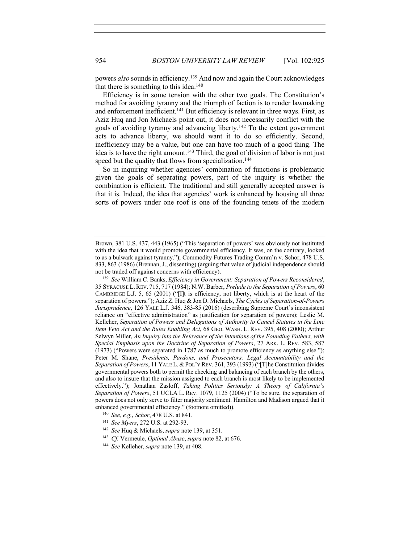powers *also* sounds in efficiency.139 And now and again the Court acknowledges that there is something to this idea.<sup>140</sup>

Efficiency is in some tension with the other two goals. The Constitution's method for avoiding tyranny and the triumph of faction is to render lawmaking and enforcement inefficient.<sup>141</sup> But efficiency is relevant in three ways. First, as Aziz Huq and Jon Michaels point out, it does not necessarily conflict with the goals of avoiding tyranny and advancing liberty.142 To the extent government acts to advance liberty, we should want it to do so efficiently. Second, inefficiency may be a value, but one can have too much of a good thing. The idea is to have the right amount.<sup>143</sup> Third, the goal of division of labor is not just speed but the quality that flows from specialization.<sup>144</sup>

So in inquiring whether agencies' combination of functions is problematic given the goals of separating powers, part of the inquiry is whether the combination is efficient. The traditional and still generally accepted answer is that it is. Indeed, the idea that agencies' work is enhanced by housing all three sorts of powers under one roof is one of the founding tenets of the modern

- <sup>140</sup> *See, e.g.*, *Schor*, 478 U.S. at 841.
- <sup>141</sup> *See Myers*, 272 U.S. at 292-93.
- <sup>142</sup> *See* Huq & Michaels, *supra* note 139, at 351.
- <sup>143</sup> *Cf.* Vermeule, *Optimal Abuse*, *supra* note 82, at 676.

Brown, 381 U.S. 437, 443 (1965) ("This 'separation of powers' was obviously not instituted with the idea that it would promote governmental efficiency. It was, on the contrary, looked to as a bulwark against tyranny."); Commodity Futures Trading Comm'n v. Schor, 478 U.S. 833, 863 (1986) (Brennan, J., dissenting) (arguing that value of judicial independence should not be traded off against concerns with efficiency).

<sup>139</sup> *See* William C. Banks, *Efficiency in Government: Separation of Powers Reconsidered*, 35 SYRACUSE L. REV. 715, 717 (1984); N.W. Barber, *Prelude to the Separation of Powers*, 60 CAMBRIDGE L.J. 5, 65 (2001) ("[I]t is efficiency, not liberty, which is at the heart of the separation of powers."); Aziz Z. Huq & Jon D. Michaels, *The Cycles of Separation-of-Powers Jurisprudence*, 126 YALE L.J. 346, 383-85 (2016) (describing Supreme Court's inconsistent reliance on "effective administration" as justification for separation of powers); Leslie M. Kelleher, *Separation of Powers and Delegations of Authority to Cancel Statutes in the Line Item Veto Act and the Rules Enabling Act*, 68 GEO. WASH. L. REV. 395, 408 (2000); Arthur Selwyn Miller, *An Inquiry into the Relevance of the Intentions of the Founding Fathers, with Special Emphasis upon the Doctrine of Separation of Powers*, 27 ARK. L. REV. 583, 587 (1973) ("Powers were separated in 1787 as much to promote efficiency as anything else."); Peter M. Shane, *Presidents, Pardons, and Prosecutors: Legal Accountability and the Separation of Powers*, 11 YALE L.&POL'Y REV. 361, 393 (1993) ("[T]he Constitution divides governmental powers both to permit the checking and balancing of each branch by the others, and also to insure that the mission assigned to each branch is most likely to be implemented effectively."); Jonathan Zasloff, *Taking Politics Seriously: A Theory of California's Separation of Powers*, 51 UCLA L. REV. 1079, 1125 (2004) ("To be sure, the separation of powers does not only serve to filter majority sentiment. Hamilton and Madison argued that it enhanced governmental efficiency." (footnote omitted)).

<sup>144</sup> *See* Kelleher, *supra* note 139, at 408.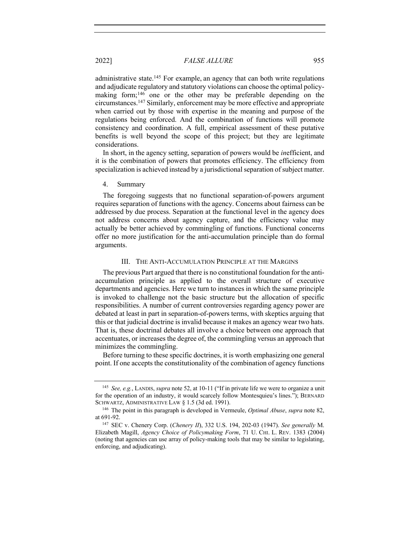administrative state.<sup>145</sup> For example, an agency that can both write regulations and adjudicate regulatory and statutory violations can choose the optimal policymaking form;<sup>146</sup> one or the other may be preferable depending on the circumstances.147 Similarly, enforcement may be more effective and appropriate when carried out by those with expertise in the meaning and purpose of the regulations being enforced. And the combination of functions will promote consistency and coordination. A full, empirical assessment of these putative benefits is well beyond the scope of this project; but they are legitimate considerations.

In short, in the agency setting, separation of powers would be *in*efficient, and it is the combination of powers that promotes efficiency. The efficiency from specialization is achieved instead by a jurisdictional separation of subject matter.

### 4. Summary

The foregoing suggests that no functional separation-of-powers argument requires separation of functions with the agency. Concerns about fairness can be addressed by due process. Separation at the functional level in the agency does not address concerns about agency capture, and the efficiency value may actually be better achieved by commingling of functions. Functional concerns offer no more justification for the anti-accumulation principle than do formal arguments.

#### III. THE ANTI-ACCUMULATION PRINCIPLE AT THE MARGINS

The previous Part argued that there is no constitutional foundation for the antiaccumulation principle as applied to the overall structure of executive departments and agencies. Here we turn to instances in which the same principle is invoked to challenge not the basic structure but the allocation of specific responsibilities. A number of current controversies regarding agency power are debated at least in part in separation-of-powers terms, with skeptics arguing that this or that judicial doctrine is invalid because it makes an agency wear two hats. That is, these doctrinal debates all involve a choice between one approach that accentuates, or increases the degree of, the commingling versus an approach that minimizes the commingling.

Before turning to these specific doctrines, it is worth emphasizing one general point. If one accepts the constitutionality of the combination of agency functions

<sup>145</sup> *See, e.g.*, LANDIS, *supra* note 52, at 10-11 ("If in private life we were to organize a unit for the operation of an industry, it would scarcely follow Montesquieu's lines."); BERNARD SCHWARTZ, ADMINISTRATIVE LAW § 1.5 (3d ed. 1991).

<sup>146</sup> The point in this paragraph is developed in Vermeule, *Optimal Abuse*, *supra* note 82, at 691-92.

<sup>147</sup> SEC v. Chenery Corp. (*Chenery II*), 332 U.S. 194, 202-03 (1947). *See generally* M. Elizabeth Magill, *Agency Choice of Policymaking Form*, 71 U. CHI. L. REV. 1383 (2004) (noting that agencies can use array of policy-making tools that may be similar to legislating, enforcing, and adjudicating).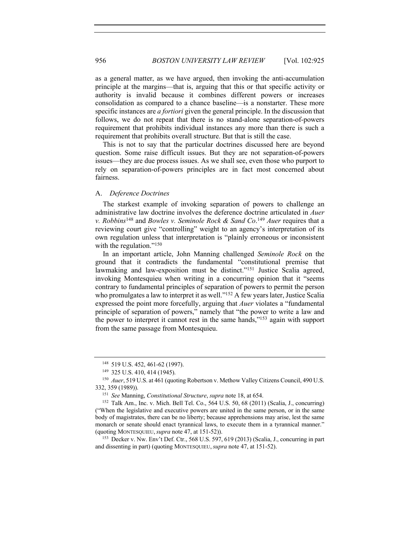as a general matter, as we have argued, then invoking the anti-accumulation principle at the margins—that is, arguing that this or that specific activity or authority is invalid because it combines different powers or increases consolidation as compared to a chance baseline—is a nonstarter. These more specific instances are *a fortiori* given the general principle. In the discussion that follows, we do not repeat that there is no stand-alone separation-of-powers requirement that prohibits individual instances any more than there is such a requirement that prohibits overall structure. But that is still the case.

This is not to say that the particular doctrines discussed here are beyond question. Some raise difficult issues. But they are not separation-of-powers issues—they are due process issues. As we shall see, even those who purport to rely on separation-of-powers principles are in fact most concerned about fairness.

#### A. *Deference Doctrines*

The starkest example of invoking separation of powers to challenge an administrative law doctrine involves the deference doctrine articulated in *Auer v. Robbins*<sup>148</sup> and *Bowles v. Seminole Rock & Sand Co*. <sup>149</sup> *Auer* requires that a reviewing court give "controlling" weight to an agency's interpretation of its own regulation unless that interpretation is "plainly erroneous or inconsistent with the regulation."<sup>150</sup>

In an important article, John Manning challenged *Seminole Rock* on the ground that it contradicts the fundamental "constitutional premise that lawmaking and law-exposition must be distinct."<sup>151</sup> Justice Scalia agreed, invoking Montesquieu when writing in a concurring opinion that it "seems contrary to fundamental principles of separation of powers to permit the person who promulgates a law to interpret it as well."<sup>152</sup> A few years later, Justice Scalia expressed the point more forcefully, arguing that *Auer* violates a "fundamental principle of separation of powers," namely that "the power to write a law and the power to interpret it cannot rest in the same hands,"153 again with support from the same passage from Montesquieu.

<sup>148</sup> 519 U.S. 452, 461-62 (1997).

<sup>149</sup> 325 U.S. 410, 414 (1945).

<sup>150</sup> *Auer*, 519 U.S. at 461 (quoting Robertson v. Methow Valley Citizens Council, 490 U.S. 332, 359 (1989)).

<sup>151</sup> *See* Manning, *Constitutional Structure*, *supra* note 18, at 654.

<sup>152</sup> Talk Am., Inc. v. Mich. Bell Tel. Co., 564 U.S. 50, 68 (2011) (Scalia, J., concurring) ("When the legislative and executive powers are united in the same person, or in the same body of magistrates, there can be no liberty; because apprehensions may arise, lest the same monarch or senate should enact tyrannical laws, to execute them in a tyrannical manner." (quoting MONTESQUIEU,*supra* note 47, at 151-52)).

<sup>153</sup> Decker v. Nw. Env't Def. Ctr., 568 U.S. 597, 619 (2013) (Scalia, J., concurring in part and dissenting in part) (quoting MONTESQUIEU,*supra* note 47, at 151-52).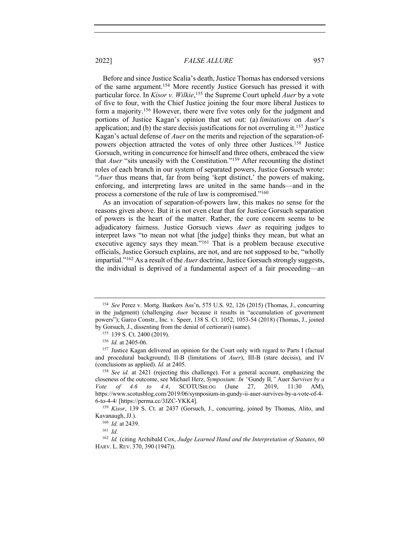Before and since Justice Scalia's death, Justice Thomas has endorsed versions of the same argument.154 More recently Justice Gorsuch has pressed it with particular force. In *Kisor v. Wilkie*, <sup>155</sup> the Supreme Court upheld *Auer* by a vote of five to four, with the Chief Justice joining the four more liberal Justices to form a majority.156 However, there were five votes only for the judgment and portions of Justice Kagan's opinion that set out: (a) *limitations* on *Auer*'s application; and (b) the stare decisis justifications for not overruling it.<sup>157</sup> Justice Kagan's actual defense of *Auer* on the merits and rejection of the separation-ofpowers objection attracted the votes of only three other Justices.158 Justice Gorsuch, writing in concurrence for himself and three others, embraced the view that *Auer* "sits uneasily with the Constitution."159 After recounting the distinct roles of each branch in our system of separated powers, Justice Gorsuch wrote: "*Auer* thus means that, far from being 'kept distinct,' the powers of making, enforcing, and interpreting laws are united in the same hands—and in the process a cornerstone of the rule of law is compromised."160

As an invocation of separation-of-powers law, this makes no sense for the reasons given above. But it is not even clear that for Justice Gorsuch separation of powers is the heart of the matter. Rather, the core concern seems to be adjudicatory fairness. Justice Gorsuch views *Auer* as requiring judges to interpret laws "to mean not what [the judge] thinks they mean, but what an executive agency says they mean."161 That is a problem because executive officials, Justice Gorsuch explains, are not, and are not supposed to be, "wholly impartial."162 As a result of the *Auer* doctrine, Justice Gorsuch strongly suggests, the individual is deprived of a fundamental aspect of a fair proceeding—an

<sup>154</sup> *See* Perez v. Mortg. Bankers Ass'n, 575 U.S. 92, 126 (2015) (Thomas, J., concurring in the judgment) (challenging *Auer* because it results in "accumulation of government powers"); Garco Constr., Inc. v. Speer, 138 S. Ct. 1052, 1053-54 (2018) (Thomas, J., joined by Gorsuch, J., dissenting from the denial of certiorari) (same).

<sup>155</sup> 139 S. Ct. 2400 (2019).

<sup>156</sup> *Id.* at 2405-06.

<sup>&</sup>lt;sup>157</sup> Justice Kagan delivered an opinion for the Court only with regard to Parts I (factual and procedural background), II-B (limitations of *Auer*), III-B (stare decisis), and IV (conclusions as applied). *Id.* at 2405.

<sup>158</sup> *See id.* at 2421 (rejecting this challenge). For a general account, emphasizing the closeness of the outcome, see Michael Herz, *Symposium: In "*Gundy II*,"* Auer *Survives by a Vote of 4.6 to 4.4*, SCOTUSBLOG (June 27, 2019, 11:30 AM), https://www.scotusblog.com/2019/06/symposium-in-gundy-ii-auer-survives-by-a-vote-of-4- 6-to-4-4/ [https://perma.cc/3JZC-YKK4].

<sup>159</sup> *Kisor*, 139 S. Ct. at 2437 (Gorsuch, J., concurring, joined by Thomas, Alito, and Kavanaugh, JJ.).

<sup>160</sup> *Id.* at 2439.

<sup>161</sup> *Id.*

<sup>162</sup> *Id.* (citing Archibald Cox, *Judge Learned Hand and the Interpretation of Statutes*, 60 HARV. L. REV. 370, 390 (1947)).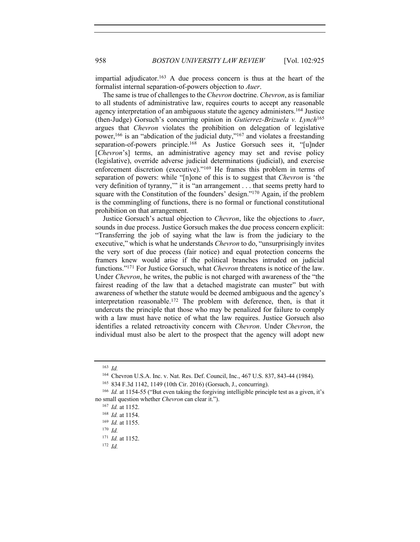impartial adjudicator.<sup>163</sup> A due process concern is thus at the heart of the formalist internal separation-of-powers objection to *Auer*.

The same is true of challenges to the *Chevron* doctrine. *Chevron*, as is familiar to all students of administrative law, requires courts to accept any reasonable agency interpretation of an ambiguous statute the agency administers.164 Justice (then-Judge) Gorsuch's concurring opinion in *Gutierrez-Brizuela v. Lynch*<sup>165</sup> argues that *Chevron* violates the prohibition on delegation of legislative power,<sup>166</sup> is an "abdication of the judicial duty,"<sup>167</sup> and violates a freestanding separation-of-powers principle.<sup>168</sup> As Justice Gorsuch sees it, "[u]nder [*Chevron*'s] terms, an administrative agency may set and revise policy (legislative), override adverse judicial determinations (judicial), and exercise enforcement discretion (executive)."<sup>169</sup> He frames this problem in terms of separation of powers: while "[n]one of this is to suggest that *Chevron* is 'the very definition of tyranny,'" it is "an arrangement . . . that seems pretty hard to square with the Constitution of the founders' design."<sup>170</sup> Again, if the problem is the commingling of functions, there is no formal or functional constitutional prohibition on that arrangement.

Justice Gorsuch's actual objection to *Chevron*, like the objections to *Auer*, sounds in due process. Justice Gorsuch makes the due process concern explicit: "Transferring the job of saying what the law is from the judiciary to the executive," which is what he understands *Chevron* to do, "unsurprisingly invites the very sort of due process (fair notice) and equal protection concerns the framers knew would arise if the political branches intruded on judicial functions."171 For Justice Gorsuch, what *Chevron* threatens is notice of the law. Under *Chevron*, he writes, the public is not charged with awareness of the "the fairest reading of the law that a detached magistrate can muster" but with awareness of whether the statute would be deemed ambiguous and the agency's interpretation reasonable.172 The problem with deference, then, is that it undercuts the principle that those who may be penalized for failure to comply with a law must have notice of what the law requires. Justice Gorsuch also identifies a related retroactivity concern with *Chevron*. Under *Chevron*, the individual must also be alert to the prospect that the agency will adopt new

<sup>163</sup> *Id.*

<sup>164</sup> Chevron U.S.A. Inc. v. Nat. Res. Def. Council, Inc., 467 U.S. 837, 843-44 (1984).

<sup>165</sup> 834 F.3d 1142, 1149 (10th Cir. 2016) (Gorsuch, J., concurring).

<sup>166</sup> *Id.* at 1154-55 ("But even taking the forgiving intelligible principle test as a given, it's no small question whether *Chevron* can clear it.").

<sup>167</sup> *Id.* at 1152.

<sup>168</sup> *Id.* at 1154.

<sup>169</sup> *Id.* at 1155.

<sup>170</sup> *Id.*

<sup>171</sup> *Id.* at 1152.

<sup>172</sup> *Id.*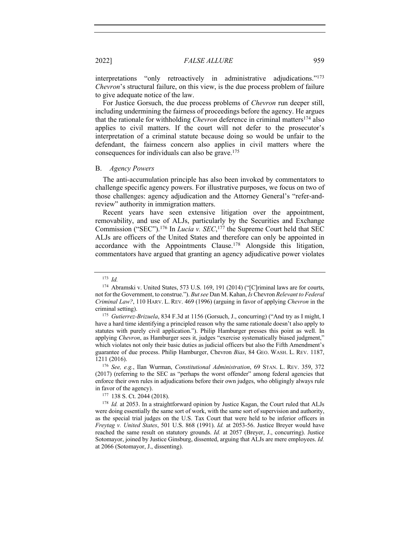interpretations "only retroactively in administrative adjudications."173 *Chevron*'s structural failure, on this view, is the due process problem of failure to give adequate notice of the law.

For Justice Gorsuch, the due process problems of *Chevron* run deeper still, including undermining the fairness of proceedings before the agency. He argues that the rationale for withholding *Chevron* deference in criminal matters174 also applies to civil matters. If the court will not defer to the prosecutor's interpretation of a criminal statute because doing so would be unfair to the defendant, the fairness concern also applies in civil matters where the consequences for individuals can also be grave.175

#### B. *Agency Powers*

The anti-accumulation principle has also been invoked by commentators to challenge specific agency powers. For illustrative purposes, we focus on two of those challenges: agency adjudication and the Attorney General's "refer-andreview" authority in immigration matters.

Recent years have seen extensive litigation over the appointment, removability, and use of ALJs, particularly by the Securities and Exchange Commission ("SEC"). <sup>176</sup> In *Lucia v. SEC*, <sup>177</sup> the Supreme Court held that SEC ALJs are officers of the United States and therefore can only be appointed in accordance with the Appointments Clause.178 Alongside this litigation, commentators have argued that granting an agency adjudicative power violates

<sup>173</sup> *Id.*

<sup>&</sup>lt;sup>174</sup> Abramski v. United States, 573 U.S. 169, 191 (2014) ("[C]riminal laws are for courts, not for the Government, to construe."). *But see* Dan M. Kahan, *Is* Chevron *Relevant to Federal Criminal Law?*, 110 HARV. L. REV. 469 (1996) (arguing in favor of applying *Chevron* in the criminal setting).

<sup>175</sup> *Gutierrez-Brizuela*, 834 F.3d at 1156 (Gorsuch, J., concurring) ("And try as I might, I have a hard time identifying a principled reason why the same rationale doesn't also apply to statutes with purely civil application."). Philip Hamburger presses this point as well. In applying *Chevron*, as Hamburger sees it, judges "exercise systematically biased judgment," which violates not only their basic duties as judicial officers but also the Fifth Amendment's guarantee of due process. Philip Hamburger, Chevron *Bias*, 84 GEO. WASH. L. REV. 1187, 1211 (2016).

<sup>176</sup> *See, e.g.*, Ilan Wurman, *Constitutional Administration*, 69 STAN. L. REV. 359, 372 (2017) (referring to the SEC as "perhaps the worst offender" among federal agencies that enforce their own rules in adjudications before their own judges, who obligingly always rule in favor of the agency).

<sup>177</sup> 138 S. Ct. 2044 (2018).

<sup>&</sup>lt;sup>178</sup> *Id.* at 2053. In a straightforward opinion by Justice Kagan, the Court ruled that ALJs were doing essentially the same sort of work, with the same sort of supervision and authority, as the special trial judges on the U.S. Tax Court that were held to be inferior officers in *Freytag v. United States*, 501 U.S. 868 (1991). *Id.* at 2053-56. Justice Breyer would have reached the same result on statutory grounds. *Id.* at 2057 (Breyer, J., concurring). Justice Sotomayor, joined by Justice Ginsburg, dissented, arguing that ALJs are mere employees. *Id.* at 2066 (Sotomayor, J., dissenting).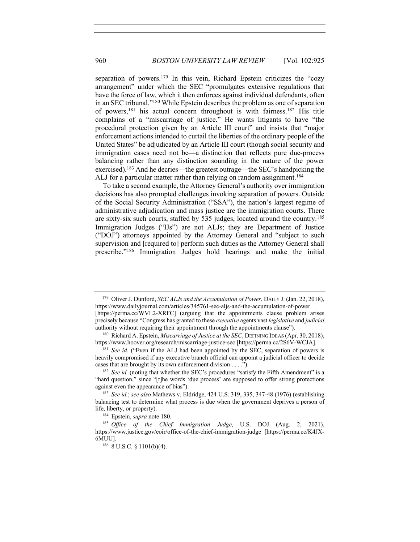separation of powers.<sup>179</sup> In this vein, Richard Epstein criticizes the "cozy arrangement" under which the SEC "promulgates extensive regulations that have the force of law, which it then enforces against individual defendants, often in an SEC tribunal."180 While Epstein describes the problem as one of separation of powers,<sup>181</sup> his actual concern throughout is with fairness.<sup>182</sup> His title complains of a "miscarriage of justice." He wants litigants to have "the procedural protection given by an Article III court" and insists that "major enforcement actions intended to curtail the liberties of the ordinary people of the United States" be adjudicated by an Article III court (though social security and immigration cases need not be—a distinction that reflects pure due-process balancing rather than any distinction sounding in the nature of the power exercised).183 And he decries—the greatest outrage—the SEC's handpicking the ALJ for a particular matter rather than relying on random assignment.<sup>184</sup>

To take a second example, the Attorney General's authority over immigration decisions has also prompted challenges invoking separation of powers. Outside of the Social Security Administration ("SSA"), the nation's largest regime of administrative adjudication and mass justice are the immigration courts. There are sixty-six such courts, staffed by 535 judges, located around the country.185 Immigration Judges ("IJs") are not ALJs; they are Department of Justice ("DOJ") attorneys appointed by the Attorney General and "subject to such supervision and [required to] perform such duties as the Attorney General shall prescribe."186 Immigration Judges hold hearings and make the initial

<sup>179</sup> Oliver J. Dunford, *SEC ALJs and the Accumulation of Power*, DAILY J. (Jan. 22, 2018), https://www.dailyjournal.com/articles/345761-sec-aljs-and-the-accumulation-of-power [https://perma.cc/WVL2-XRFC] (arguing that the appointments clause problem arises

precisely because "Congress has granted to these *executive* agents vast *legislative* and *judicial* authority without requiring their appointment through the appointments clause").

<sup>&</sup>lt;sup>180</sup> Richard A. Epstein, *Miscarriage of Justice at the SEC*, DEFINING IDEAS (Apr. 30, 2018), https://www.hoover.org/research/miscarriage-justice-sec [https://perma.cc/2S6V-WCJA].

<sup>&</sup>lt;sup>181</sup> *See id.* ("Even if the ALJ had been appointed by the SEC, separation of powers is heavily compromised if any executive branch official can appoint a judicial officer to decide cases that are brought by its own enforcement division . . . .").

<sup>&</sup>lt;sup>182</sup> *See id.* (noting that whether the SEC's procedures "satisfy the Fifth Amendment" is a "hard question," since "[t]he words 'due process' are supposed to offer strong protections against even the appearance of bias").

<sup>183</sup> *See id.*; *see also* Mathews v. Eldridge, 424 U.S. 319, 335, 347-48 (1976) (establishing balancing test to determine what process is due when the government deprives a person of life, liberty, or property).

<sup>184</sup> Epstein, *supra* note 180.

<sup>185</sup> *Office of the Chief Immigration Judge*, U.S. DOJ (Aug. 2, 2021), https://www.justice.gov/eoir/office-of-the-chief-immigration-judge [https://perma.cc/K4JX-6MUU].

<sup>186</sup> 8 U.S.C. § 1101(b)(4).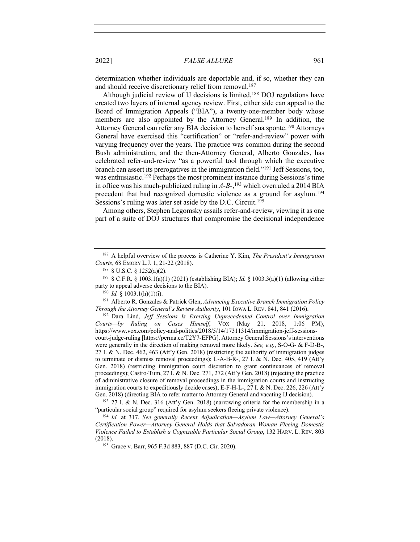determination whether individuals are deportable and, if so, whether they can and should receive discretionary relief from removal.<sup>187</sup>

Although judicial review of IJ decisions is limited, <sup>188</sup> DOJ regulations have created two layers of internal agency review. First, either side can appeal to the Board of Immigration Appeals ("BIA"), a twenty-one-member body whose members are also appointed by the Attorney General.<sup>189</sup> In addition, the Attorney General can refer any BIA decision to herself sua sponte.<sup>190</sup> Attorneys General have exercised this "certification" or "refer-and-review" power with varying frequency over the years. The practice was common during the second Bush administration, and the then-Attorney General, Alberto Gonzales, has celebrated refer-and-review "as a powerful tool through which the executive branch can assert its prerogatives in the immigration field."191 Jeff Sessions, too, was enthusiastic.<sup>192</sup> Perhaps the most prominent instance during Sessions's time in office was his much-publicized ruling in *A-B-*, <sup>193</sup> which overruled a 2014 BIA precedent that had recognized domestic violence as a ground for asylum.194 Sessions's ruling was later set aside by the D.C. Circuit.<sup>195</sup>

Among others, Stephen Legomsky assails refer-and-review, viewing it as one part of a suite of DOJ structures that compromise the decisional independence

<sup>192</sup> Dara Lind, *Jeff Sessions Is Exerting Unprecedented Control over Immigration Courts—by Ruling on Cases Himself*, VOX (May 21, 2018, 1:06 PM), https://www.vox.com/policy-and-politics/2018/5/14/17311314/immigration-jeff-sessionscourt-judge-ruling [https://perma.cc/T2Y7-EFPG]. Attorney General Sessions'sinterventions were generally in the direction of making removal more likely. *See, e.g.*, S-O-G- & F-D-B-, 27 I. & N. Dec. 462, 463 (Att'y Gen. 2018) (restricting the authority of immigration judges to terminate or dismiss removal proceedings); L-A-B-R-, 27 I. & N. Dec. 405, 419 (Att'y Gen. 2018) (restricting immigration court discretion to grant continuances of removal proceedings); Castro-Tum, 27 I. & N. Dec. 271, 272 (Att'y Gen. 2018) (rejecting the practice of administrative closure of removal proceedings in the immigration courts and instructing immigration courts to expeditiously decide cases); E-F-H-L-, 27 I. & N. Dec. 226, 226 (Att'y Gen. 2018) (directing BIA to refer matter to Attorney General and vacating IJ decision).

<sup>193</sup> 27 I. & N. Dec. 316 (Att'y Gen. 2018) (narrowing criteria for the membership in a "particular social group" required for asylum seekers fleeing private violence).

<sup>194</sup> *Id.* at 317. *See generally Recent Adjudication—Asylum Law—Attorney General's Certification Power—Attorney General Holds that Salvadoran Woman Fleeing Domestic Violence Failed to Establish a Cognizable Particular Social Group*, 132 HARV. L. REV. 803 (2018).

<sup>195</sup> Grace v. Barr, 965 F.3d 883, 887 (D.C. Cir. 2020).

<sup>187</sup> A helpful overview of the process is Catherine Y. Kim, *The President's Immigration Courts*, 68 EMORY L.J. 1, 21-22 (2018).

<sup>188</sup> 8 U.S.C. § 1252(a)(2).

<sup>189</sup> 8 C.F.R. § 1003.1(a)(1) (2021) (establishing BIA); *Id.* § 1003.3(a)(1) (allowing either party to appeal adverse decisions to the BIA).

 $190$  *Id.* § 1003.1(h)(1)(i).

<sup>191</sup> Alberto R. Gonzales & Patrick Glen, *Advancing Executive Branch Immigration Policy Through the Attorney General's Review Authority*, 101 IOWA L. REV. 841, 841 (2016).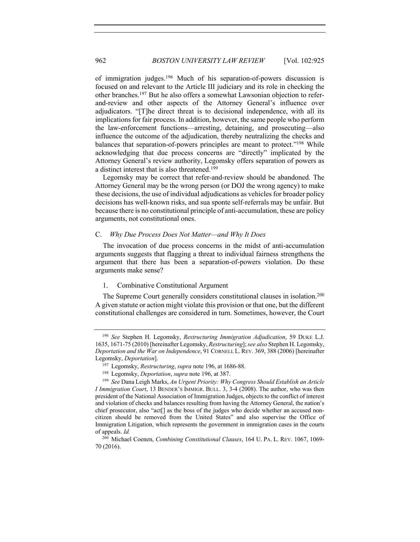of immigration judges.196 Much of his separation-of-powers discussion is focused on and relevant to the Article III judiciary and its role in checking the other branches.197 But he also offers a somewhat Lawsonian objection to referand-review and other aspects of the Attorney General's influence over adjudicators. "[T]he direct threat is to decisional independence, with all its implications for fair process. In addition, however, the same people who perform the law-enforcement functions—arresting, detaining, and prosecuting—also influence the outcome of the adjudication, thereby neutralizing the checks and balances that separation-of-powers principles are meant to protect."198 While acknowledging that due process concerns are "directly" implicated by the Attorney General's review authority, Legomsky offers separation of powers as a distinct interest that is also threatened.199

Legomsky may be correct that refer-and-review should be abandoned. The Attorney General may be the wrong person (or DOJ the wrong agency) to make these decisions, the use of individual adjudications as vehicles for broader policy decisions has well-known risks, and sua sponte self-referrals may be unfair. But because there is no constitutional principle of anti-accumulation, these are policy arguments, not constitutional ones.

#### C. *Why Due Process Does Not Matter—and Why It Does*

The invocation of due process concerns in the midst of anti-accumulation arguments suggests that flagging a threat to individual fairness strengthens the argument that there has been a separation-of-powers violation. Do these arguments make sense?

## 1. Combinative Constitutional Argument

The Supreme Court generally considers constitutional clauses in isolation.200 A given statute or action might violate this provision or that one, but the different constitutional challenges are considered in turn. Sometimes, however, the Court

<sup>196</sup> *See* Stephen H. Legomsky, *Restructuring Immigration Adjudication*, 59 DUKE L.J. 1635, 1671-75 (2010) [hereinafter Legomsky, *Restructuring*]; *see also* Stephen H. Legomsky, *Deportation and the War on Independence*, 91 CORNELL L. REV. 369, 388 (2006) [hereinafter Legomsky, *Deportation*].

<sup>197</sup> Legomsky, *Restructuring*, *supra* note 196, at 1686-88.

<sup>198</sup> Legomsky, *Deportation*, *supra* note 196, at 387.

<sup>199</sup> *See* Dana Leigh Marks, *An Urgent Priority: Why Congress Should Establish an Article I Immigration Court*, 13 BENDER'S IMMIGR. BULL. 3, 3-4 (2008). The author, who was then president of the National Association of Immigration Judges, objects to the conflict of interest and violation of checks and balances resulting from having the Attorney General, the nation's chief prosecutor, also "act[] as the boss of the judges who decide whether an accused noncitizen should be removed from the United States" and also supervise the Office of Immigration Litigation, which represents the government in immigration cases in the courts of appeals. *Id.*

<sup>200</sup> Michael Coenen, *Combining Constitutional Clauses*, 164 U. PA. L. REV. 1067, 1069- 70 (2016).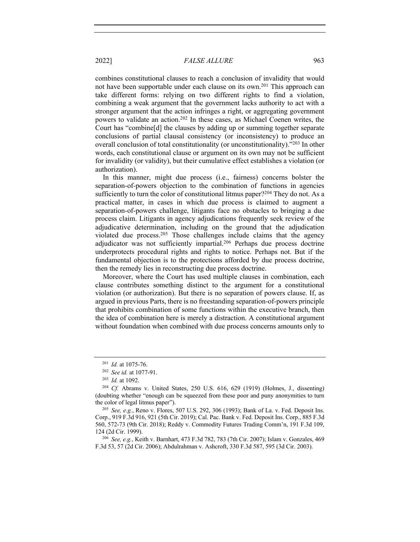combines constitutional clauses to reach a conclusion of invalidity that would not have been supportable under each clause on its own.<sup>201</sup> This approach can take different forms: relying on two different rights to find a violation, combining a weak argument that the government lacks authority to act with a stronger argument that the action infringes a right, or aggregating government powers to validate an action.202 In these cases, as Michael Coenen writes, the Court has "combine[d] the clauses by adding up or summing together separate conclusions of partial clausal consistency (or inconsistency) to produce an overall conclusion of total constitutionality (or unconstitutionality)."203 In other words, each constitutional clause or argument on its own may not be sufficient for invalidity (or validity), but their cumulative effect establishes a violation (or authorization).

In this manner, might due process (i.e., fairness) concerns bolster the separation-of-powers objection to the combination of functions in agencies sufficiently to turn the color of constitutional litmus paper?<sup>204</sup> They do not. As a practical matter, in cases in which due process is claimed to augment a separation-of-powers challenge, litigants face no obstacles to bringing a due process claim. Litigants in agency adjudications frequently seek review of the adjudicative determination, including on the ground that the adjudication violated due process.205 Those challenges include claims that the agency adjudicator was not sufficiently impartial.206 Perhaps due process doctrine underprotects procedural rights and rights to notice. Perhaps not. But if the fundamental objection is to the protections afforded by due process doctrine, then the remedy lies in reconstructing due process doctrine.

Moreover, where the Court has used multiple clauses in combination, each clause contributes something distinct to the argument for a constitutional violation (or authorization). But there is no separation of powers clause. If, as argued in previous Parts, there is no freestanding separation-of-powers principle that prohibits combination of some functions within the executive branch, then the idea of combination here is merely a distraction. A constitutional argument without foundation when combined with due process concerns amounts only to

<sup>206</sup> *See, e.g.*, Keith v. Barnhart, 473 F.3d 782, 783 (7th Cir. 2007); Islam v. Gonzales, 469 F.3d 53, 57 (2d Cir. 2006); Abdulrahman v. Ashcroft, 330 F.3d 587, 595 (3d Cir. 2003).

<sup>201</sup> *Id.* at 1075-76.

<sup>202</sup> *See id.* at 1077-91.

<sup>203</sup> *Id.* at 1092.

<sup>204</sup> *Cf.* Abrams v. United States, 250 U.S. 616, 629 (1919) (Holmes, J., dissenting) (doubting whether "enough can be squeezed from these poor and puny anonymities to turn the color of legal litmus paper").

<sup>205</sup> *See, e.g.*, Reno v. Flores, 507 U.S. 292, 306 (1993); Bank of La. v. Fed. Deposit Ins. Corp., 919 F.3d 916, 921 (5th Cir. 2019); Cal. Pac. Bank v. Fed. Deposit Ins. Corp., 885 F.3d 560, 572-73 (9th Cir. 2018); Reddy v. Commodity Futures Trading Comm'n, 191 F.3d 109, 124 (2d Cir. 1999).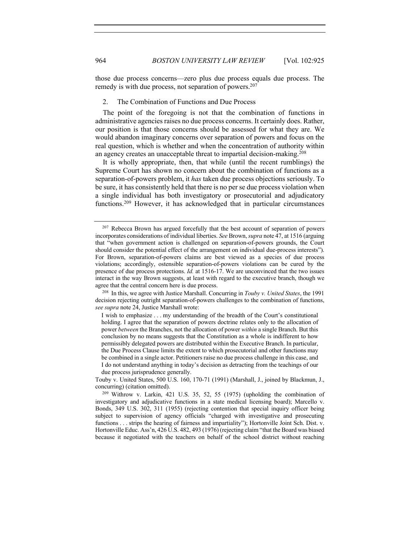those due process concerns—zero plus due process equals due process. The remedy is with due process, not separation of powers.<sup>207</sup>

# 2. The Combination of Functions and Due Process

The point of the foregoing is not that the combination of functions in administrative agencies raises no due process concerns. It certainly does. Rather, our position is that those concerns should be assessed for what they are. We would abandon imaginary concerns over separation of powers and focus on the real question, which is whether and when the concentration of authority within an agency creates an unacceptable threat to impartial decision-making.<sup>208</sup>

It is wholly appropriate, then, that while (until the recent rumblings) the Supreme Court has shown no concern about the combination of functions as a separation-of-powers problem, it *has* taken due process objections seriously. To be sure, it has consistently held that there is no per se due process violation when a single individual has both investigatory or prosecutorial and adjudicatory functions.209 However, it has acknowledged that in particular circumstances

<sup>&</sup>lt;sup>207</sup> Rebecca Brown has argued forcefully that the best account of separation of powers incorporates considerations of individual liberties. *See* Brown, *supra* note 47, at 1516 (arguing that "when government action is challenged on separation-of-powers grounds, the Court should consider the potential effect of the arrangement on individual due-process interests"). For Brown, separation-of-powers claims are best viewed as a species of due process violations; accordingly, ostensible separation-of-powers violations can be cured by the presence of due process protections. *Id.* at 1516-17. We are unconvinced that the two issues interact in the way Brown suggests, at least with regard to the executive branch, though we agree that the central concern here is due process.

<sup>208</sup> In this, we agree with Justice Marshall. Concurring in *Touby v. United States*, the 1991 decision rejecting outright separation-of-powers challenges to the combination of functions, *see supra* note 24, Justice Marshall wrote:

I wish to emphasize . . . my understanding of the breadth of the Court's constitutional holding. I agree that the separation of powers doctrine relates only to the allocation of power *between* the Branches, not the allocation of power *within* a single Branch. But this conclusion by no means suggests that the Constitution as a whole is indifferent to how permissibly delegated powers are distributed within the Executive Branch. In particular, the Due Process Clause limits the extent to which prosecutorial and other functions may be combined in a single actor. Petitioners raise no due process challenge in this case, and I do not understand anything in today's decision as detracting from the teachings of our due process jurisprudence generally.

Touby v. United States, 500 U.S. 160, 170-71 (1991) (Marshall, J., joined by Blackmun, J., concurring) (citation omitted).

<sup>209</sup> Withrow v. Larkin, 421 U.S. 35, 52, 55 (1975) (upholding the combination of investigatory and adjudicative functions in a state medical licensing board); Marcello v. Bonds, 349 U.S. 302, 311 (1955) (rejecting contention that special inquiry officer being subject to supervision of agency officials "charged with investigative and prosecuting functions . . . strips the hearing of fairness and impartiality"); Hortonville Joint Sch. Dist. v. Hortonville Educ. Ass'n, 426 U.S. 482, 493 (1976) (rejecting claim "that the Board was biased because it negotiated with the teachers on behalf of the school district without reaching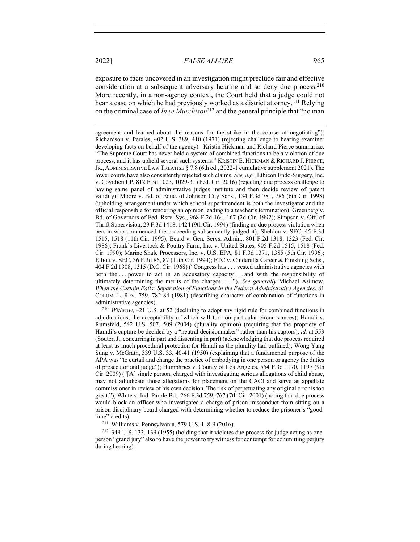exposure to facts uncovered in an investigation might preclude fair and effective consideration at a subsequent adversary hearing and so deny due process.210 More recently, in a non-agency context, the Court held that a judge could not hear a case on which he had previously worked as a district attorney.211 Relying on the criminal case of *In re Murchison*<sup>212</sup> and the general principle that "no man

<sup>210</sup> *Withrow*, 421 U.S. at 52 (declining to adopt any rigid rule for combined functions in adjudications, the acceptability of which will turn on particular circumstances); Hamdi v. Rumsfeld, 542 U.S. 507, 509 (2004) (plurality opinion) (requiring that the propriety of Hamdi's capture be decided by a "neutral decisionmaker" rather than his captors); *id.* at 553 (Souter, J., concurring in part and dissenting in part) (acknowledging that due process required at least as much procedural protection for Hamdi as the plurality had outlined); Wong Yang Sung v. McGrath, 339 U.S. 33, 40-41 (1950) (explaining that a fundamental purpose of the APA was "to curtail and change the practice of embodying in one person or agency the duties of prosecutor and judge"); Humphries v. County of Los Angeles, 554 F.3d 1170, 1197 (9th Cir. 2009) ("[A] single person, charged with investigating serious allegations of child abuse, may not adjudicate those allegations for placement on the CACI and serve as appellate commissioner in review of his own decision. The risk of perpetuating any original error is too great."); White v. Ind. Parole Bd., 266 F.3d 759, 767 (7th Cir. 2001) (noting that due process would block an officer who investigated a charge of prison misconduct from sitting on a prison disciplinary board charged with determining whether to reduce the prisoner's "goodtime" credits).

<sup>211</sup> Williams v. Pennsylvania, 579 U.S. 1, 8-9 (2016).

<sup>212</sup> 349 U.S. 133, 139 (1955) (holding that it violates due process for judge acting as oneperson "grand jury" also to have the power to try witness for contempt for committing perjury during hearing).

agreement and learned about the reasons for the strike in the course of negotiating"); Richardson v. Perales, 402 U.S. 389, 410 (1971) (rejecting challenge to hearing examiner developing facts on behalf of the agency). Kristin Hickman and Richard Pierce summarize: "The Supreme Court has never held a system of combined functions to be a violation of due process, and it has upheld several such systems." KRISTIN E. HICKMAN & RICHARD J. PIERCE, JR., ADMINISTRATIVE LAW TREATISE § 7.8 (6th ed., 2022-1 cumulative supplement 2021). The lower courts have also consistently rejected such claims. *See, e.g.*, Ethicon Endo-Surgery, Inc. v. Covidien LP, 812 F.3d 1023, 1029-31 (Fed. Cir. 2016) (rejecting due process challenge to having same panel of administrative judges institute and then decide review of patent validity); Moore v. Bd. of Educ. of Johnson City Schs., 134 F.3d 781, 786 (6th Cir. 1998) (upholding arrangement under which school superintendent is both the investigator and the official responsible for rendering an opinion leading to a teacher's termination); Greenberg v. Bd. of Governors of Fed. Rsrv. Sys., 968 F.2d 164, 167 (2d Cir. 1992); Simpson v. Off. of Thrift Supervision, 29 F.3d 1418, 1424 (9th Cir. 1994) (finding no due process violation when person who commenced the proceeding subsequently judged it); Sheldon v. SEC, 45 F.3d 1515, 1518 (11th Cir. 1995); Beard v. Gen. Servs. Admin., 801 F.2d 1318, 1323 (Fed. Cir. 1986); Frank's Livestock & Poultry Farm, Inc. v. United States, 905 F.2d 1515, 1518 (Fed. Cir. 1990); Marine Shale Processors, Inc. v. U.S. EPA, 81 F.3d 1371, 1385 (5th Cir. 1996); Elliott v. SEC, 36 F.3d 86, 87 (11th Cir. 1994); FTC v. Cinderella Career & Finishing Schs., 404 F.2d 1308, 1315 (D.C. Cir. 1968) ("Congress has . . . vested administrative agencies with both the . . . power to act in an accusatory capacity . . . and with the responsibility of ultimately determining the merits of the charges . . . ."). *See generally* Michael Asimow, *When the Curtain Falls: Separation of Functions in the Federal Administrative Agencies*, 81 COLUM. L. REV. 759, 782-84 (1981) (describing character of combination of functions in administrative agencies).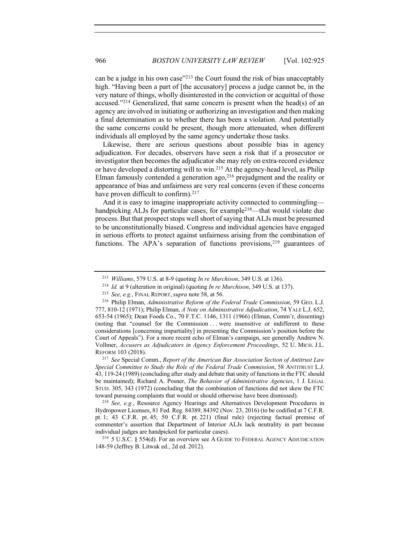can be a judge in his own case<sup>"213</sup> the Court found the risk of bias unacceptably high. "Having been a part of [the accusatory] process a judge cannot be, in the very nature of things, wholly disinterested in the conviction or acquittal of those accused."214 Generalized, that same concern is present when the head(s) of an agency are involved in initiating or authorizing an investigation and then making a final determination as to whether there has been a violation. And potentially the same concerns could be present, though more attenuated, when different individuals all employed by the same agency undertake those tasks.

Likewise, there are serious questions about possible bias in agency adjudication. For decades, observers have seen a risk that if a prosecutor or investigator then becomes the adjudicator she may rely on extra-record evidence or have developed a distorting will to win.215 At the agency-head level, as Philip Elman famously contended a generation ago,<sup>216</sup> prejudgment and the reality or appearance of bias and unfairness are very real concerns (even if these concerns have proven difficult to confirm).<sup>217</sup>

And it is easy to imagine inappropriate activity connected to commingling handpicking ALJs for particular cases, for example<sup>218</sup>—that would violate due process. But that prospect stops well short of saying that ALJs must be presumed to be unconstitutionally biased. Congress and individual agencies have engaged in serious efforts to protect against unfairness arising from the combination of functions. The APA's separation of functions provisions,  $219$  guarantees of

 $219$  5 U.S.C. § 554(d). For an overview see A GUIDE TO FEDERAL AGENCY ADJUDICATION 148-59 (Jeffrey B. Litwak ed., 2d ed. 2012).

<sup>213</sup> *Williams*, 579 U.S. at 8-9 (quoting *In re Murchison*, 349 U.S. at 136).

<sup>214</sup> *Id.* at 9 (alteration in original) (quoting *In re Murchison*, 349 U.S. at 137).

<sup>215</sup> *See, e.g.*, FINAL REPORT,*supra* note 58, at 56.

<sup>216</sup> Philip Elman, *Administrative Reform of the Federal Trade Commission*, 59 GEO. L.J. 777, 810-12 (1971); Philip Elman, *A Note on Administrative Adjudication*, 74 YALE L.J. 652, 653-54 (1965); Dean Foods Co., 70 F.T.C. 1146, 1311 (1966) (Elman, Comm'r, dissenting) (noting that "counsel for the Commission . . . were insensitive or indifferent to these considerations [concerning impartiality] in presenting the Commission's position before the Court of Appeals"). For a more recent echo of Elman's campaign, see generally Andrew N. Vollmer, *Accusers as Adjudicators in Agency Enforcement Proceedings*, 52 U. MICH. J.L. REFORM 103 (2018).

<sup>217</sup> *See* Special Comm., *Report of the American Bar Association Section of Antitrust Law Special Committee to Study the Role of the Federal Trade Commission*, 58 ANTITRUST L.J. 43, 119-24 (1989) (concluding after study and debate that unity of functions in the FTC should be maintained); Richard A. Posner, *The Behavior of Administrative Agencies*, 1 J. LEGAL STUD. 305, 343 (1972) (concluding that the combination of functions did not skew the FTC toward pursuing complaints that would or should otherwise have been dismissed).

<sup>218</sup> *See, e.g.*, Resource Agency Hearings and Alternatives Development Procedures in Hydropower Licenses, 81 Fed. Reg. 84389, 84392 (Nov. 23, 2016) (to be codified at 7 C.F.R. pt. 1; 43 C.F.R. pt. 45; 50 C.F.R. pt. 221) (final rule) (rejecting factual premise of commenter's assertion that Department of Interior ALJs lack neutrality in part because individual judges are handpicked for particular cases).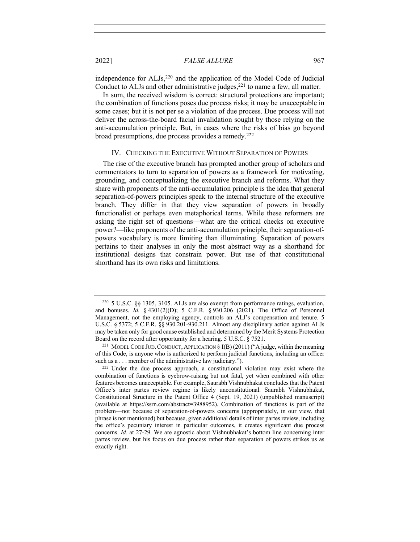independence for ALJs,<sup>220</sup> and the application of the Model Code of Judicial Conduct to ALJs and other administrative judges, $^{221}$  to name a few, all matter.

In sum, the received wisdom is correct: structural protections are important; the combination of functions poses due process risks; it may be unacceptable in some cases; but it is not per se a violation of due process. Due process will not deliver the across-the-board facial invalidation sought by those relying on the anti-accumulation principle. But, in cases where the risks of bias go beyond broad presumptions, due process provides a remedy.222

# IV. CHECKING THE EXECUTIVE WITHOUT SEPARATION OF POWERS

The rise of the executive branch has prompted another group of scholars and commentators to turn to separation of powers as a framework for motivating, grounding, and conceptualizing the executive branch and reforms. What they share with proponents of the anti-accumulation principle is the idea that general separation-of-powers principles speak to the internal structure of the executive branch. They differ in that they view separation of powers in broadly functionalist or perhaps even metaphorical terms. While these reformers are asking the right set of questions—what are the critical checks on executive power?—like proponents of the anti-accumulation principle, their separation-ofpowers vocabulary is more limiting than illuminating. Separation of powers pertains to their analyses in only the most abstract way as a shorthand for institutional designs that constrain power. But use of that constitutional shorthand has its own risks and limitations.

<sup>220</sup> 5 U.S.C. §§ 1305, 3105. ALJs are also exempt from performance ratings, evaluation, and bonuses. *Id.* § 4301(2)(D); 5 C.F.R. § 930.206 (2021). The Office of Personnel Management, not the employing agency, controls an ALJ's compensation and tenure. 5 U.S.C. § 5372; 5 C.F.R. §§ 930.201-930.211. Almost any disciplinary action against ALJs may be taken only for good cause established and determined by the Merit Systems Protection Board on the record after opportunity for a hearing. 5 U.S.C. § 7521.

<sup>&</sup>lt;sup>221</sup> MODEL CODE JUD. CONDUCT, APPLICATION § I(B) (2011) ("A judge, within the meaning of this Code, is anyone who is authorized to perform judicial functions, including an officer such as a . . . member of the administrative law judiciary.").

<sup>222</sup> Under the due process approach, a constitutional violation may exist where the combination of functions is eyebrow-raising but not fatal, yet when combined with other features becomes unacceptable. For example, Saurabh Vishnubhakat concludes that the Patent Office's inter partes review regime is likely unconstitutional. Saurabh Vishnubhakat, Constitutional Structure in the Patent Office 4 (Sept. 19, 2021) (unpublished manuscript) (available at https://ssrn.com/abstract=3988952). Combination of functions is part of the problem—not because of separation-of-powers concerns (appropriately, in our view, that phrase is not mentioned) but because, given additional details of inter partes review, including the office's pecuniary interest in particular outcomes, it creates significant due process concerns. *Id.* at 27-29. We are agnostic about Vishnubhakat's bottom line concerning inter partes review, but his focus on due process rather than separation of powers strikes us as exactly right.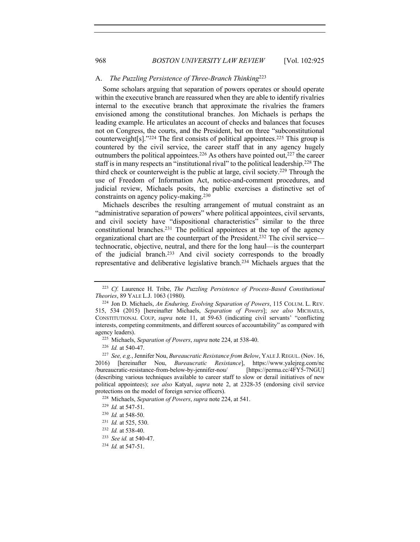#### A. *The Puzzling Persistence of Three-Branch Thinking*<sup>223</sup>

Some scholars arguing that separation of powers operates or should operate within the executive branch are reassured when they are able to identify rivalries internal to the executive branch that approximate the rivalries the framers envisioned among the constitutional branches. Jon Michaels is perhaps the leading example. He articulates an account of checks and balances that focuses not on Congress, the courts, and the President, but on three "subconstitutional counterweight[s]."<sup>224</sup> The first consists of political appointees.<sup>225</sup> This group is countered by the civil service, the career staff that in any agency hugely outnumbers the political appointees.<sup>226</sup> As others have pointed out,<sup>227</sup> the career staff is in many respects an "institutional rival" to the political leadership.<sup>228</sup> The third check or counterweight is the public at large, civil society.229 Through the use of Freedom of Information Act, notice-and-comment procedures, and judicial review, Michaels posits, the public exercises a distinctive set of constraints on agency policy-making.<sup>230</sup>

Michaels describes the resulting arrangement of mutual constraint as an "administrative separation of powers" where political appointees, civil servants, and civil society have "dispositional characteristics" similar to the three constitutional branches.231 The political appointees at the top of the agency organizational chart are the counterpart of the President.232 The civil service technocratic, objective, neutral, and there for the long haul—is the counterpart of the judicial branch.233 And civil society corresponds to the broadly representative and deliberative legislative branch.234 Michaels argues that the

<sup>226</sup> *Id.* at 540-47.

<sup>223</sup> *Cf.* Laurence H. Tribe, *The Puzzling Persistence of Process-Based Constitutional Theories*, 89 YALE L.J. 1063 (1980).

<sup>224</sup> Jon D. Michaels, *An Enduring, Evolving Separation of Powers*, 115 COLUM. L. REV. 515, 534 (2015) [hereinafter Michaels, *Separation of Powers*]; *see also* MICHAELS, CONSTITUTIONAL COUP, *supra* note 11, at 59-63 (indicating civil servants' "conflicting interests, competing commitments, and different sources of accountability" as compared with agency leaders).

<sup>225</sup> Michaels, *Separation of Powers*, *supra* note 224, at 538-40.

<sup>227</sup> *See, e.g.*, Jennifer Nou, *Bureaucratic Resistance from Below*, YALE J.REGUL. (Nov. 16, 2016) [hereinafter Nou, *Bureaucratic Resistance*], https://www.yalejreg.com/nc /bureaucratic-resistance-from-below-by-jennifer-nou/ [https://perma.cc/4FY5-7NGU] (describing various techniques available to career staff to slow or derail initiatives of new political appointees); *see also* Katyal, *supra* note 2, at 2328-35 (endorsing civil service protections on the model of foreign service officers).

<sup>228</sup> Michaels, *Separation of Powers*, *supra* note 224, at 541.

<sup>229</sup> *Id.* at 547-51.

<sup>230</sup> *Id.* at 548-50.

<sup>231</sup> *Id.* at 525, 530.

<sup>232</sup> *Id.* at 538-40.

<sup>233</sup> *See id.* at 540-47.

<sup>234</sup> *Id.* at 547-51.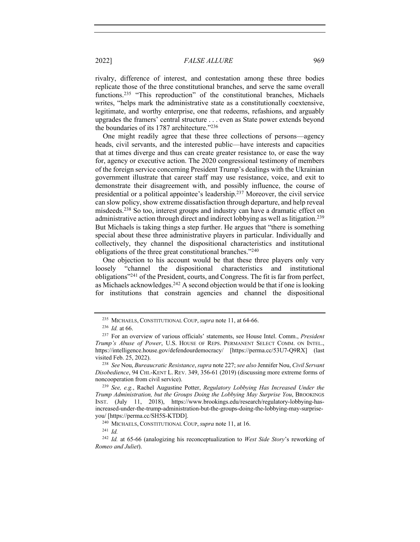rivalry, difference of interest, and contestation among these three bodies replicate those of the three constitutional branches, and serve the same overall functions.<sup>235</sup> "This reproduction" of the constitutional branches, Michaels writes, "helps mark the administrative state as a constitutionally coextensive, legitimate, and worthy enterprise, one that redeems, refashions, and arguably upgrades the framers' central structure . . . even as State power extends beyond the boundaries of its 1787 architecture."236

One might readily agree that these three collections of persons—agency heads, civil servants, and the interested public—have interests and capacities that at times diverge and thus can create greater resistance to, or ease the way for, agency or executive action. The 2020 congressional testimony of members of the foreign service concerning President Trump's dealings with the Ukrainian government illustrate that career staff may use resistance, voice, and exit to demonstrate their disagreement with, and possibly influence, the course of presidential or a political appointee's leadership.237 Moreover, the civil service can slow policy, show extreme dissatisfaction through departure, and help reveal misdeeds.238 So too, interest groups and industry can have a dramatic effect on administrative action through direct and indirect lobbying as well as litigation.<sup>239</sup> But Michaels is taking things a step further. He argues that "there is something special about these three administrative players in particular. Individually and collectively, they channel the dispositional characteristics and institutional obligations of the three great constitutional branches."240

One objection to his account would be that these three players only very loosely "channel the dispositional characteristics and institutional obligations"241 of the President, courts, and Congress. The fit is far from perfect, as Michaels acknowledges.242 A second objection would be that if one is looking for institutions that constrain agencies and channel the dispositional

<sup>235</sup> MICHAELS, CONSTITUTIONAL COUP,*supra* note 11, at 64-66.

<sup>236</sup> *Id.* at 66.

<sup>237</sup> For an overview of various officials' statements, see House Intel. Comm., *President Trump's Abuse of Power*, U.S. HOUSE OF REPS. PERMANENT SELECT COMM. ON INTEL., https://intelligence.house.gov/defendourdemocracy/ [https://perma.cc/53U7-Q9RX] (last visited Feb. 25, 2022).

<sup>238</sup> *See* Nou, *Bureaucratic Resistance*, *supra* note 227; *see also* Jennifer Nou, *Civil Servant Disobedience*, 94 CHI.-KENT L. REV. 349, 356-61 (2019) (discussing more extreme forms of noncooperation from civil service).

<sup>239</sup> *See, e.g.*, Rachel Augustine Potter, *Regulatory Lobbying Has Increased Under the Trump Administration, but the Groups Doing the Lobbying May Surprise You*, BROOKINGS INST. (July 11, 2018), https://www.brookings.edu/research/regulatory-lobbying-hasincreased-under-the-trump-administration-but-the-groups-doing-the-lobbying-may-surpriseyou/ [https://perma.cc/SH5S-KTDD].

<sup>240</sup> MICHAELS, CONSTITUTIONAL COUP,*supra* note 11, at 16.

<sup>241</sup> *Id.*

<sup>242</sup> *Id.* at 65-66 (analogizing his reconceptualization to *West Side Story*'s reworking of *Romeo and Juliet*).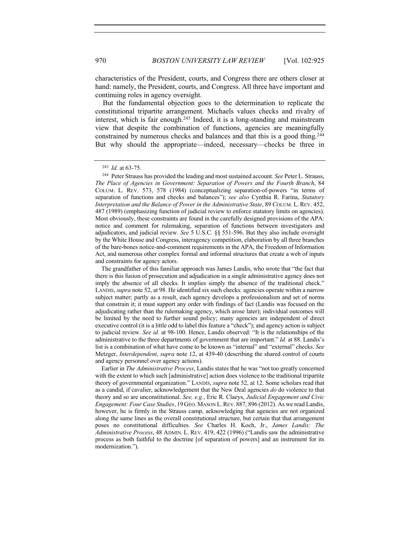characteristics of the President, courts, and Congress there are others closer at hand: namely, the President, courts, and Congress. All three have important and continuing roles in agency oversight.

But the fundamental objection goes to the determination to replicate the constitutional tripartite arrangement. Michaels values checks and rivalry of interest, which is fair enough.<sup>243</sup> Indeed, it is a long-standing and mainstream view that despite the combination of functions, agencies are meaningfully constrained by numerous checks and balances and that this is a good thing.<sup>244</sup> But why should the appropriate—indeed, necessary—checks be three in

Earlier in *The Administrative Process*, Landis states that he was "not too greatly concerned with the extent to which such [administrative] action does violence to the traditional tripartite theory of governmental organization." LANDIS, *supra* note 52, at 12. Some scholars read that as a candid, if cavalier, acknowledgement that the New Deal agencies *do* do violence to that theory and so are unconstitutional. *See, e.g.*, Eric R. Claeys, *Judicial Engagement and Civic Engagement: Four Case Studies*, 19GEO.MASON L.REV. 887, 896 (2012). As we read Landis, however, he is firmly in the Strauss camp, acknowledging that agencies are not organized along the same lines as the overall constitutional structure, but certain that that arrangement poses no constitutional difficulties. *See* Charles H. Koch, Jr., *James Landis: The Administrative Process*, 48 ADMIN. L. REV. 419, 422 (1996) ("Landis saw the administrative process as both faithful to the doctrine [of separation of powers] and an instrument for its modernization.").

<sup>243</sup> *Id.* at 63-75.

<sup>244</sup> Peter Strauss has provided the leading and most sustained account. *See* Peter L. Strauss, *The Place of Agencies in Government: Separation of Powers and the Fourth Branch*, 84 COLUM. L. REV. 573, 578 (1984) (conceptualizing separation-of-powers "in terms of separation of functions and checks and balances"); *see also* Cynthia R. Farina, *Statutory Interpretation and the Balance of Power in the Administrative State*, 89 COLUM. L. REV. 452, 487 (1989) (emphasizing function of judicial review to enforce statutory limits on agencies). Most obviously, these constraints are found in the carefully designed provisions of the APA: notice and comment for rulemaking, separation of functions between investigators and adjudicators, and judicial review. *See* 5 U.S.C. §§ 551-596. But they also include oversight by the White House and Congress, interagency competition, elaboration by all three branches of the bare-bones notice-and-comment requirements in the APA, the Freedom of Information Act, and numerous other complex formal and informal structures that create a web of inputs and constraints for agency actors.

The grandfather of this familiar approach was James Landis, who wrote that "the fact that there is this fusion of prosecution and adjudication in a single administrative agency does not imply the absence of all checks. It implies simply the absence of the traditional check." LANDIS, *supra* note 52, at 98. He identified six such checks: agencies operate within a narrow subject matter; partly as a result, each agency develops a professionalism and set of norms that constrain it; it must support any order with findings of fact (Landis was focused on the adjudicating rather than the rulemaking agency, which arose later); individual outcomes will be limited by the need to further sound policy; many agencies are independent of direct executive control (it is a little odd to label this feature a "check"); and agency action is subject to judicial review. *See id.* at 98-100. Hence, Landis observed: "It is the relationships of the administrative to the three departments of government that are important." *Id.* at 88. Landis's list is a combination of what have come to be known as "internal" and "external" checks. *See*  Metzger, *Interdependent*, *supra* note 12, at 439-40 (describing the shared control of courts and agency personnel over agency actions).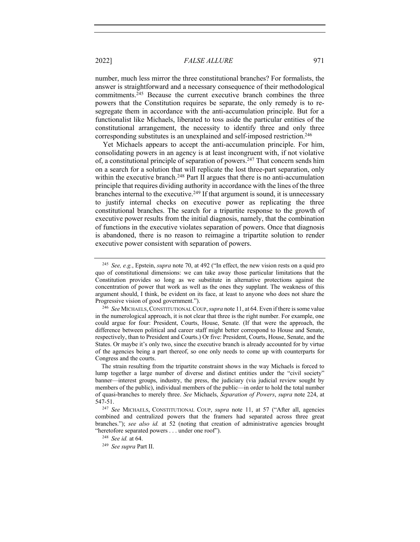number, much less mirror the three constitutional branches? For formalists, the answer is straightforward and a necessary consequence of their methodological commitments.<sup>245</sup> Because the current executive branch combines the three powers that the Constitution requires be separate, the only remedy is to resegregate them in accordance with the anti-accumulation principle. But for a functionalist like Michaels, liberated to toss aside the particular entities of the constitutional arrangement, the necessity to identify three and only three corresponding substitutes is an unexplained and self-imposed restriction.<sup>246</sup>

Yet Michaels appears to accept the anti-accumulation principle. For him, consolidating powers in an agency is at least incongruent with, if not violative of, a constitutional principle of separation of powers.247 That concern sends him on a search for a solution that will replicate the lost three-part separation, only within the executive branch.<sup>248</sup> Part II argues that there is no anti-accumulation principle that requires dividing authority in accordance with the lines of the three branches internal to the executive.<sup>249</sup> If that argument is sound, it is unnecessary to justify internal checks on executive power as replicating the three constitutional branches. The search for a tripartite response to the growth of executive power results from the initial diagnosis, namely, that the combination of functions in the executive violates separation of powers. Once that diagnosis is abandoned, there is no reason to reimagine a tripartite solution to render executive power consistent with separation of powers.

<sup>245</sup> *See, e.g.*, Epstein, *supra* note 70, at 492 ("In effect, the new vision rests on a quid pro quo of constitutional dimensions: we can take away those particular limitations that the Constitution provides so long as we substitute in alternative protections against the concentration of power that work as well as the ones they supplant. The weakness of this argument should, I think, be evident on its face, at least to anyone who does not share the Progressive vision of good government.").

<sup>246</sup> *See* MICHAELS,CONSTITUTIONAL COUP, *supra* note 11, at 64. Even if there is some value in the numerological approach, it is not clear that three is the right number. For example, one could argue for four: President, Courts, House, Senate. (If that were the approach, the difference between political and career staff might better correspond to House and Senate, respectively, than to President and Courts.) Or five: President, Courts, House, Senate, and the States. Or maybe it's only two, since the executive branch is already accounted for by virtue of the agencies being a part thereof, so one only needs to come up with counterparts for Congress and the courts.

The strain resulting from the tripartite constraint shows in the way Michaels is forced to lump together a large number of diverse and distinct entities under the "civil society" banner—interest groups, industry, the press, the judiciary (via judicial review sought by members of the public), individual members of the public—in order to hold the total number of quasi-branches to merely three. *See* Michaels, *Separation of Powers*, *supra* note 224, at 547-51.

<sup>247</sup> *See* MICHAELS, CONSTITUTIONAL COUP, *supra* note 11, at 57 ("After all, agencies combined and centralized powers that the framers had separated across three great branches."); *see also id.* at 52 (noting that creation of administrative agencies brought "heretofore separated powers . . . under one roof").

<sup>248</sup> *See id.* at 64.

<sup>249</sup> *See supra* Part II.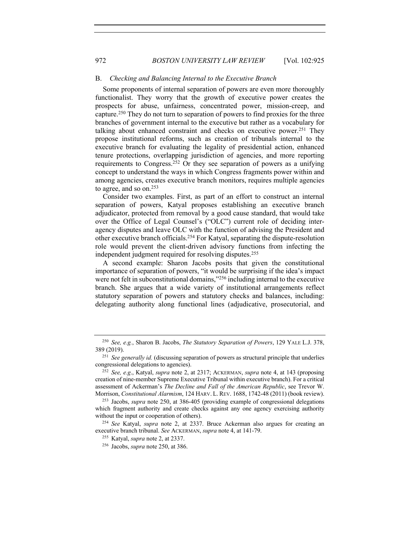#### B. *Checking and Balancing Internal to the Executive Branch*

Some proponents of internal separation of powers are even more thoroughly functionalist. They worry that the growth of executive power creates the prospects for abuse, unfairness, concentrated power, mission-creep, and capture.250 They do not turn to separation of powers to find proxies for the three branches of government internal to the executive but rather as a vocabulary for talking about enhanced constraint and checks on executive power.<sup>251</sup> They propose institutional reforms, such as creation of tribunals internal to the executive branch for evaluating the legality of presidential action, enhanced tenure protections, overlapping jurisdiction of agencies, and more reporting requirements to Congress.252 Or they see separation of powers as a unifying concept to understand the ways in which Congress fragments power within and among agencies, creates executive branch monitors, requires multiple agencies to agree, and so on.<sup>253</sup>

Consider two examples. First, as part of an effort to construct an internal separation of powers, Katyal proposes establishing an executive branch adjudicator, protected from removal by a good cause standard, that would take over the Office of Legal Counsel's ("OLC") current role of deciding interagency disputes and leave OLC with the function of advising the President and other executive branch officials.254 For Katyal, separating the dispute-resolution role would prevent the client-driven advisory functions from infecting the independent judgment required for resolving disputes.255

A second example: Sharon Jacobs posits that given the constitutional importance of separation of powers, "it would be surprising if the idea's impact were not felt in subconstitutional domains,"<sup>256</sup> including internal to the executive branch. She argues that a wide variety of institutional arrangements reflect statutory separation of powers and statutory checks and balances, including: delegating authority along functional lines (adjudicative, prosecutorial, and

<sup>250</sup> *See, e.g.*, Sharon B. Jacobs, *The Statutory Separation of Powers*, 129 YALE L.J. 378, 389 (2019).

<sup>251</sup> *See generally id.* (discussing separation of powers as structural principle that underlies congressional delegations to agencies).

<sup>252</sup> *See, e.g*., Katyal, *supra* note 2, at 2317; ACKERMAN, *supra* note 4, at 143 (proposing creation of nine-member Supreme Executive Tribunal within executive branch). For a critical assessment of Ackerman's *The Decline and Fall of the American Republic*, see Trevor W. Morrison, *Constitutional Alarmism*, 124 HARV. L. REV. 1688, 1742-48 (2011) (book review).

<sup>253</sup> Jacobs, *supra* note 250, at 386-405 (providing example of congressional delegations which fragment authority and create checks against any one agency exercising authority without the input or cooperation of others).

<sup>254</sup> *See* Katyal, *supra* note 2, at 2337. Bruce Ackerman also argues for creating an executive branch tribunal. *See* ACKERMAN, *supra* note 4, at 141-79.

<sup>255</sup> Katyal, *supra* note 2, at 2337.

<sup>256</sup> Jacobs, *supra* note 250, at 386.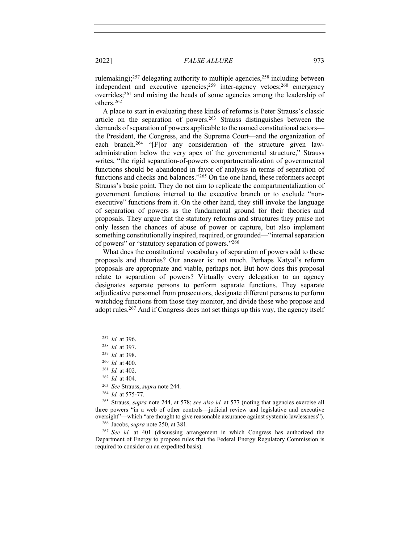rulemaking); $257$  delegating authority to multiple agencies, $258$  including between independent and executive agencies;259 inter-agency vetoes;260 emergency overrides;261 and mixing the heads of some agencies among the leadership of others.262

A place to start in evaluating these kinds of reforms is Peter Strauss's classic article on the separation of powers.263 Strauss distinguishes between the demands of separation of powers applicable to the named constitutional actors the President, the Congress, and the Supreme Court—and the organization of each branch.<sup>264</sup> "[F]or any consideration of the structure given lawadministration below the very apex of the governmental structure," Strauss writes, "the rigid separation-of-powers compartmentalization of governmental functions should be abandoned in favor of analysis in terms of separation of functions and checks and balances."265 On the one hand, these reformers accept Strauss's basic point. They do not aim to replicate the compartmentalization of government functions internal to the executive branch or to exclude "nonexecutive" functions from it. On the other hand, they still invoke the language of separation of powers as the fundamental ground for their theories and proposals. They argue that the statutory reforms and structures they praise not only lessen the chances of abuse of power or capture, but also implement something constitutionally inspired, required, or grounded—"internal separation of powers" or "statutory separation of powers."266

What does the constitutional vocabulary of separation of powers add to these proposals and theories? Our answer is: not much. Perhaps Katyal's reform proposals are appropriate and viable, perhaps not. But how does this proposal relate to separation of powers? Virtually every delegation to an agency designates separate persons to perform separate functions. They separate adjudicative personnel from prosecutors, designate different persons to perform watchdog functions from those they monitor, and divide those who propose and adopt rules.267 And if Congress does not set things up this way, the agency itself

<sup>265</sup> Strauss, *supra* note 244, at 578; *see also id.* at 577 (noting that agencies exercise all three powers "in a web of other controls—judicial review and legislative and executive oversight"—which "are thought to give reasonable assurance against systemic lawlessness").

<sup>267</sup> *See id.* at 401 (discussing arrangement in which Congress has authorized the Department of Energy to propose rules that the Federal Energy Regulatory Commission is required to consider on an expedited basis).

<sup>257</sup> *Id.* at 396.

<sup>258</sup> *Id.* at 397.

<sup>259</sup> *Id.* at 398.

<sup>260</sup> *Id.* at 400.

<sup>261</sup> *Id.* at 402.

<sup>262</sup> *Id.* at 404.

<sup>263</sup> *See* Strauss, *supra* note 244.

<sup>264</sup> *Id.* at 575-77.

<sup>266</sup> Jacobs, *supra* note 250, at 381.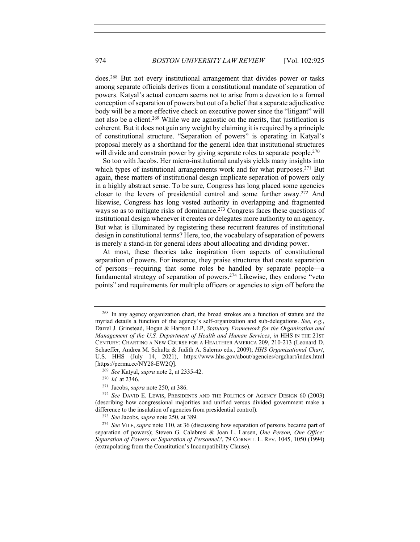does.268 But not every institutional arrangement that divides power or tasks among separate officials derives from a constitutional mandate of separation of powers. Katyal's actual concern seems not to arise from a devotion to a formal conception of separation of powers but out of a belief that a separate adjudicative body will be a more effective check on executive power since the "litigant" will not also be a client.<sup>269</sup> While we are agnostic on the merits, that justification is coherent. But it does not gain any weight by claiming it is required by a principle of constitutional structure. "Separation of powers" is operating in Katyal's proposal merely as a shorthand for the general idea that institutional structures will divide and constrain power by giving separate roles to separate people.<sup>270</sup>

So too with Jacobs. Her micro-institutional analysis yields many insights into which types of institutional arrangements work and for what purposes.<sup>271</sup> But again, these matters of institutional design implicate separation of powers only in a highly abstract sense. To be sure, Congress has long placed some agencies closer to the levers of presidential control and some further away.272 And likewise, Congress has long vested authority in overlapping and fragmented ways so as to mitigate risks of dominance.<sup>273</sup> Congress faces these questions of institutional design whenever it creates or delegates more authority to an agency. But what is illuminated by registering these recurrent features of institutional design in constitutional terms? Here, too, the vocabulary of separation of powers is merely a stand-in for general ideas about allocating and dividing power.

At most, these theories take inspiration from aspects of constitutional separation of powers. For instance, they praise structures that create separation of persons—requiring that some roles be handled by separate people—a fundamental strategy of separation of powers.274 Likewise, they endorse "veto points" and requirements for multiple officers or agencies to sign off before the

<sup>268</sup> In any agency organization chart, the broad strokes are a function of statute and the myriad details a function of the agency's self-organization and sub-delegations. *See, e.g.*, Darrel J. Grinstead, Hogan & Hartson LLP, *Statutory Framework for the Organization and Management of the U.S. Department of Health and Human Services*, *in* HHS IN THE 21ST CENTURY: CHARTING A NEW COURSE FOR A HEALTHIER AMERICA 209, 210-213 (Leonard D. Schaeffer, Andrea M. Schultz & Judith A. Salerno eds., 2009); *HHS Organizational Chart*, U.S. HHS (July 14, 2021), https://www.hhs.gov/about/agencies/orgchart/index.html [https://perma.cc/NY28-EW2Q].

<sup>269</sup> *See* Katyal, *supra* note 2, at 2335-42.

<sup>270</sup> *Id.* at 2346.

<sup>271</sup> Jacobs, *supra* note 250, at 386.

<sup>272</sup> *See* DAVID E. LEWIS, PRESIDENTS AND THE POLITICS OF AGENCY DESIGN 60 (2003) (describing how congressional majorities and unified versus divided government make a difference to the insulation of agencies from presidential control).

<sup>273</sup> *See* Jacobs, *supra* note 250, at 389.

<sup>274</sup> *See* VILE, *supra* note 110, at 36 (discussing how separation of persons became part of separation of powers); Steven G. Calabresi & Joan L. Larsen, *One Person, One Office: Separation of Powers or Separation of Personnel?*, 79 CORNELL L. REV. 1045, 1050 (1994) (extrapolating from the Constitution's Incompatibility Clause).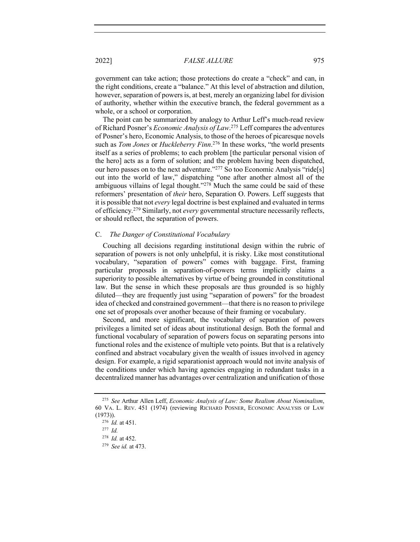government can take action; those protections do create a "check" and can, in the right conditions, create a "balance." At this level of abstraction and dilution, however, separation of powers is, at best, merely an organizing label for division of authority, whether within the executive branch, the federal government as a whole, or a school or corporation.

The point can be summarized by analogy to Arthur Leff's much-read review of Richard Posner's *Economic Analysis of Law*. <sup>275</sup> Leff compares the adventures of Posner's hero, Economic Analysis, to those of the heroes of picaresque novels such as *Tom Jones* or *Huckleberry Finn*. <sup>276</sup> In these works, "the world presents itself as a series of problems; to each problem [the particular personal vision of the hero] acts as a form of solution; and the problem having been dispatched, our hero passes on to the next adventure."<sup>277</sup> So too Economic Analysis "ride[s] out into the world of law," dispatching "one after another almost all of the ambiguous villains of legal thought."<sup>278</sup> Much the same could be said of these reformers' presentation of *their* hero, Separation O. Powers. Leff suggests that it is possible that not *every* legal doctrine is best explained and evaluated in terms of efficiency*.* <sup>279</sup> Similarly, not *every* governmental structure necessarily reflects, or should reflect, the separation of powers.

#### C. *The Danger of Constitutional Vocabulary*

Couching all decisions regarding institutional design within the rubric of separation of powers is not only unhelpful, it is risky. Like most constitutional vocabulary, "separation of powers" comes with baggage. First, framing particular proposals in separation-of-powers terms implicitly claims a superiority to possible alternatives by virtue of being grounded in constitutional law. But the sense in which these proposals are thus grounded is so highly diluted—they are frequently just using "separation of powers" for the broadest idea of checked and constrained government—that there is no reason to privilege one set of proposals over another because of their framing or vocabulary.

Second, and more significant, the vocabulary of separation of powers privileges a limited set of ideas about institutional design. Both the formal and functional vocabulary of separation of powers focus on separating persons into functional roles and the existence of multiple veto points. But that is a relatively confined and abstract vocabulary given the wealth of issues involved in agency design. For example, a rigid separationist approach would not invite analysis of the conditions under which having agencies engaging in redundant tasks in a decentralized manner has advantages over centralization and unification of those

<sup>275</sup> *See* Arthur Allen Leff, *Economic Analysis of Law: Some Realism About Nominalism*, 60 VA. L. REV. 451 (1974) (reviewing RICHARD POSNER, ECONOMIC ANALYSIS OF LAW (1973)).

<sup>276</sup> *Id.* at 451.

<sup>277</sup> *Id.*

<sup>278</sup> *Id.* at 452.

<sup>279</sup> *See id.* at 473.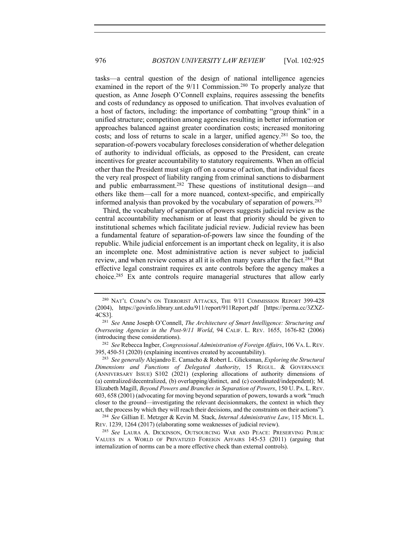tasks—a central question of the design of national intelligence agencies examined in the report of the 9/11 Commission.<sup>280</sup> To properly analyze that question, as Anne Joseph O'Connell explains, requires assessing the benefits and costs of redundancy as opposed to unification. That involves evaluation of a host of factors, including: the importance of combatting "group think" in a unified structure; competition among agencies resulting in better information or approaches balanced against greater coordination costs; increased monitoring costs; and loss of returns to scale in a larger, unified agency.281 So too, the separation-of-powers vocabulary forecloses consideration of whether delegation of authority to individual officials, as opposed to the President, can create incentives for greater accountability to statutory requirements. When an official other than the President must sign off on a course of action, that individual faces the very real prospect of liability ranging from criminal sanctions to disbarment and public embarrassment.<sup>282</sup> These questions of institutional design—and others like them—call for a more nuanced, context-specific, and empirically informed analysis than provoked by the vocabulary of separation of powers.283

Third, the vocabulary of separation of powers suggests judicial review as the central accountability mechanism or at least that priority should be given to institutional schemes which facilitate judicial review. Judicial review has been a fundamental feature of separation-of-powers law since the founding of the republic. While judicial enforcement is an important check on legality, it is also an incomplete one. Most administrative action is never subject to judicial review, and when review comes at all it is often many years after the fact.284 But effective legal constraint requires ex ante controls before the agency makes a choice.285 Ex ante controls require managerial structures that allow early

<sup>282</sup> *See* Rebecca Ingber, *Congressional Administration of Foreign Affairs*, 106 VA. L.REV. 395, 450-51 (2020) (explaining incentives created by accountability).

<sup>283</sup> *See generally* Alejandro E. Camacho & Robert L. Glicksman, *Exploring the Structural Dimensions and Functions of Delegated Authority*, 15 REGUL. & GOVERNANCE (ANNIVERSARY ISSUE) S102 (2021) (exploring allocations of authority dimensions of (a) centralized/decentralized, (b) overlapping/distinct, and (c) coordinated/independent); M. Elizabeth Magill, *Beyond Powers and Branches in Separation of Powers*, 150 U. PA. L. REV. 603, 658 (2001) (advocating for moving beyond separation of powers, towards a work "much closer to the ground—investigating the relevant decisionmakers, the context in which they act, the process by which they will reach their decisions, and the constraints on their actions").

<sup>284</sup> *See* Gillian E. Metzger & Kevin M. Stack, *Internal Administrative Law*, 115 MICH. L. REV. 1239, 1264 (2017) (elaborating some weaknesses of judicial review).

<sup>285</sup> *See* LAURA A. DICKINSON, OUTSOURCING WAR AND PEACE: PRESERVING PUBLIC VALUES IN A WORLD OF PRIVATIZED FOREIGN AFFAIRS 145-53 (2011) (arguing that internalization of norms can be a more effective check than external controls).

<sup>&</sup>lt;sup>280</sup> NAT'L COMM'N ON TERRORIST ATTACKS, THE 9/11 COMMISSION REPORT 399-428 (2004), https://govinfo.library.unt.edu/911/report/911Report.pdf [https://perma.cc/3ZXZ-4CS3].

<sup>281</sup> *See* Anne Joseph O'Connell, *The Architecture of Smart Intelligence: Structuring and Overseeing Agencies in the Post-9/11 World*, 94 CALIF. L. REV. 1655, 1676-82 (2006) (introducing these considerations).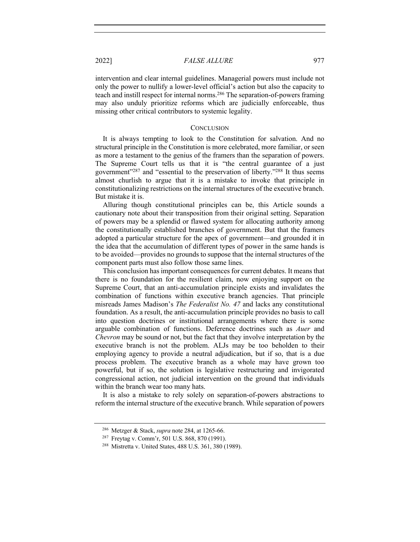intervention and clear internal guidelines. Managerial powers must include not only the power to nullify a lower-level official's action but also the capacity to teach and instill respect for internal norms.286 The separation-of-powers framing may also unduly prioritize reforms which are judicially enforceable, thus missing other critical contributors to systemic legality.

#### **CONCLUSION**

It is always tempting to look to the Constitution for salvation. And no structural principle in the Constitution is more celebrated, more familiar, or seen as more a testament to the genius of the framers than the separation of powers. The Supreme Court tells us that it is "the central guarantee of a just government"287 and "essential to the preservation of liberty."288 It thus seems almost churlish to argue that it is a mistake to invoke that principle in constitutionalizing restrictions on the internal structures of the executive branch. But mistake it is.

Alluring though constitutional principles can be, this Article sounds a cautionary note about their transposition from their original setting. Separation of powers may be a splendid or flawed system for allocating authority among the constitutionally established branches of government. But that the framers adopted a particular structure for the apex of government—and grounded it in the idea that the accumulation of different types of power in the same hands is to be avoided—provides no grounds to suppose that the internal structures of the component parts must also follow those same lines.

This conclusion has important consequences for current debates. It means that there is no foundation for the resilient claim, now enjoying support on the Supreme Court, that an anti-accumulation principle exists and invalidates the combination of functions within executive branch agencies. That principle misreads James Madison's *The Federalist No. 47* and lacks any constitutional foundation. As a result, the anti-accumulation principle provides no basis to call into question doctrines or institutional arrangements where there is some arguable combination of functions. Deference doctrines such as *Auer* and *Chevron* may be sound or not, but the fact that they involve interpretation by the executive branch is not the problem. ALJs may be too beholden to their employing agency to provide a neutral adjudication, but if so, that is a due process problem. The executive branch as a whole may have grown too powerful, but if so, the solution is legislative restructuring and invigorated congressional action, not judicial intervention on the ground that individuals within the branch wear too many hats.

It is also a mistake to rely solely on separation-of-powers abstractions to reform the internal structure of the executive branch. While separation of powers

<sup>286</sup> Metzger & Stack, *supra* note 284, at 1265-66.

<sup>287</sup> Freytag v. Comm'r, 501 U.S. 868, 870 (1991).

<sup>288</sup> Mistretta v. United States, 488 U.S. 361, 380 (1989).